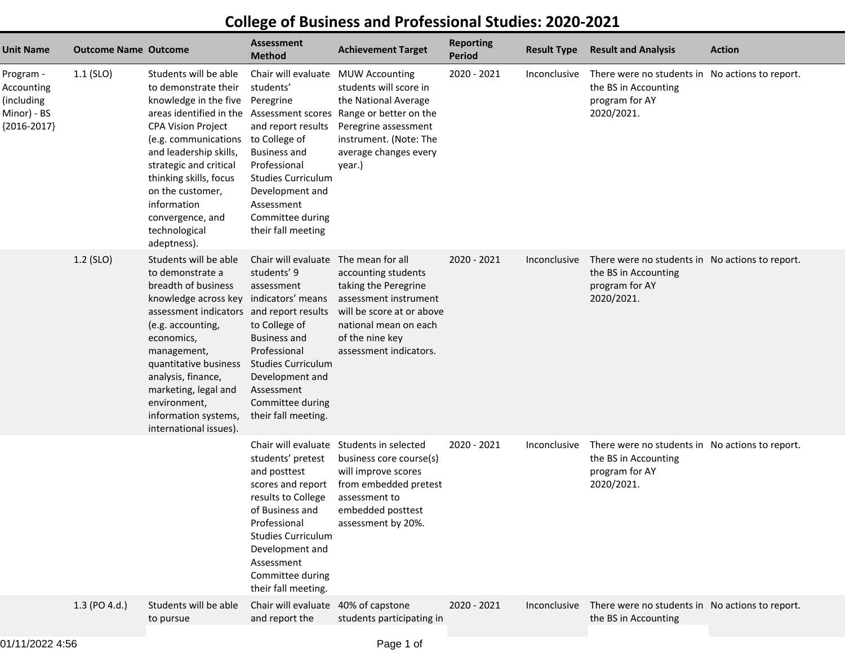| <b>Unit Name</b>                                                      | <b>Outcome Name Outcome</b> |                                                                                                                                                                                                                                                                                                                                               | <b>Assessment</b><br><b>Method</b>                                                                                                                                                                                                              | <b>Achievement Target</b>                                                                                                                                                                   | <b>Reporting</b><br><b>Period</b> | <b>Result Type</b> | <b>Result and Analysis</b>                                                                              | <b>Action</b> |
|-----------------------------------------------------------------------|-----------------------------|-----------------------------------------------------------------------------------------------------------------------------------------------------------------------------------------------------------------------------------------------------------------------------------------------------------------------------------------------|-------------------------------------------------------------------------------------------------------------------------------------------------------------------------------------------------------------------------------------------------|---------------------------------------------------------------------------------------------------------------------------------------------------------------------------------------------|-----------------------------------|--------------------|---------------------------------------------------------------------------------------------------------|---------------|
| Program -<br>Accounting<br>(including<br>Minor) - BS<br>${2016-2017}$ | $1.1$ (SLO)                 | Students will be able<br>to demonstrate their<br>knowledge in the five<br>areas identified in the Assessment scores<br><b>CPA Vision Project</b><br>(e.g. communications<br>and leadership skills,<br>strategic and critical<br>thinking skills, focus<br>on the customer,<br>information<br>convergence, and<br>technological<br>adeptness). | Chair will evaluate<br>students'<br>Peregrine<br>and report results<br>to College of<br><b>Business and</b><br>Professional<br><b>Studies Curriculum</b><br>Development and<br>Assessment<br>Committee during<br>their fall meeting             | <b>MUW Accounting</b><br>students will score in<br>the National Average<br>Range or better on the<br>Peregrine assessment<br>instrument. (Note: The<br>average changes every<br>year.)      | 2020 - 2021                       | Inconclusive       | There were no students in No actions to report.<br>the BS in Accounting<br>program for AY<br>2020/2021. |               |
|                                                                       | 1.2 (SLO)                   | Students will be able<br>to demonstrate a<br>breadth of business<br>knowledge across key<br>assessment indicators and report results<br>(e.g. accounting,<br>economics,<br>management,<br>quantitative business<br>analysis, finance,<br>marketing, legal and<br>environment,<br>information systems,<br>international issues).               | Chair will evaluate<br>students' 9<br>assessment<br>indicators' means<br>to College of<br><b>Business and</b><br>Professional<br><b>Studies Curriculum</b><br>Development and<br>Assessment<br>Committee during<br>their fall meeting.          | The mean for all<br>accounting students<br>taking the Peregrine<br>assessment instrument<br>will be score at or above<br>national mean on each<br>of the nine key<br>assessment indicators. | 2020 - 2021                       | Inconclusive       | There were no students in No actions to report.<br>the BS in Accounting<br>program for AY<br>2020/2021. |               |
|                                                                       |                             |                                                                                                                                                                                                                                                                                                                                               | Chair will evaluate<br>students' pretest<br>and posttest<br>scores and report<br>results to College<br>of Business and<br>Professional<br><b>Studies Curriculum</b><br>Development and<br>Assessment<br>Committee during<br>their fall meeting. | Students in selected<br>business core course(s)<br>will improve scores<br>from embedded pretest<br>assessment to<br>embedded posttest<br>assessment by 20%.                                 | 2020 - 2021                       | Inconclusive       | There were no students in No actions to report.<br>the BS in Accounting<br>program for AY<br>2020/2021. |               |
|                                                                       | 1.3 (PO 4.d.)               | Students will be able<br>to pursue                                                                                                                                                                                                                                                                                                            | Chair will evaluate 40% of capstone<br>and report the                                                                                                                                                                                           | students participating in                                                                                                                                                                   | 2020 - 2021                       | Inconclusive       | There were no students in No actions to report.<br>the BS in Accounting                                 |               |

## **College of Business and Professional Studies: 2020-2021**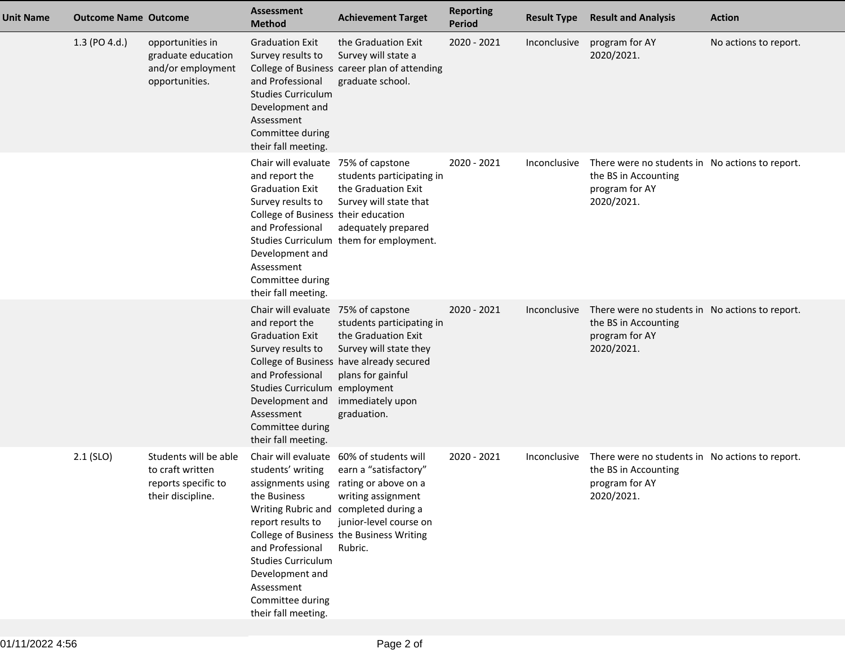| Unit Name | <b>Outcome Name Outcome</b> |                                                                                       | <b>Assessment</b><br><b>Method</b>                                                                                                                                                                                                          | <b>Achievement Target</b>                                                                                                                                                                                                                                   | <b>Reporting</b><br><b>Period</b> | <b>Result Type</b>  | <b>Result and Analysis</b>                                                                              | <b>Action</b>         |
|-----------|-----------------------------|---------------------------------------------------------------------------------------|---------------------------------------------------------------------------------------------------------------------------------------------------------------------------------------------------------------------------------------------|-------------------------------------------------------------------------------------------------------------------------------------------------------------------------------------------------------------------------------------------------------------|-----------------------------------|---------------------|---------------------------------------------------------------------------------------------------------|-----------------------|
|           | 1.3 (PO 4.d.)               | opportunities in<br>graduate education<br>and/or employment<br>opportunities.         | <b>Graduation Exit</b><br>Survey results to<br>and Professional<br><b>Studies Curriculum</b><br>Development and<br>Assessment<br>Committee during<br>their fall meeting.                                                                    | the Graduation Exit<br>Survey will state a<br>College of Business career plan of attending<br>graduate school.                                                                                                                                              | 2020 - 2021                       | Inconclusive        | program for AY<br>2020/2021.                                                                            | No actions to report. |
|           |                             |                                                                                       | Chair will evaluate 75% of capstone<br>and report the<br><b>Graduation Exit</b><br>Survey results to<br>College of Business their education<br>and Professional<br>Development and<br>Assessment<br>Committee during<br>their fall meeting. | students participating in<br>the Graduation Exit<br>Survey will state that<br>adequately prepared<br>Studies Curriculum them for employment.                                                                                                                | 2020 - 2021                       | Inconclusive        | There were no students in No actions to report.<br>the BS in Accounting<br>program for AY<br>2020/2021. |                       |
|           |                             |                                                                                       | Chair will evaluate 75% of capstone<br>and report the<br><b>Graduation Exit</b><br>Survey results to<br>and Professional<br>Studies Curriculum employment<br>Development and<br>Assessment<br>Committee during<br>their fall meeting.       | students participating in<br>the Graduation Exit<br>Survey will state they<br>College of Business have already secured<br>plans for gainful<br>immediately upon<br>graduation.                                                                              | 2020 - 2021                       | <b>Inconclusive</b> | There were no students in No actions to report.<br>the BS in Accounting<br>program for AY<br>2020/2021. |                       |
|           | $2.1$ (SLO)                 | Students will be able<br>to craft written<br>reports specific to<br>their discipline. | students' writing<br>the Business<br>report results to<br>and Professional<br><b>Studies Curriculum</b><br>Development and<br>Assessment<br>Committee during<br>their fall meeting.                                                         | Chair will evaluate 60% of students will<br>earn a "satisfactory"<br>assignments using rating or above on a<br>writing assignment<br>Writing Rubric and completed during a<br>junior-level course on<br>College of Business the Business Writing<br>Rubric. | 2020 - 2021                       | Inconclusive        | There were no students in No actions to report.<br>the BS in Accounting<br>program for AY<br>2020/2021. |                       |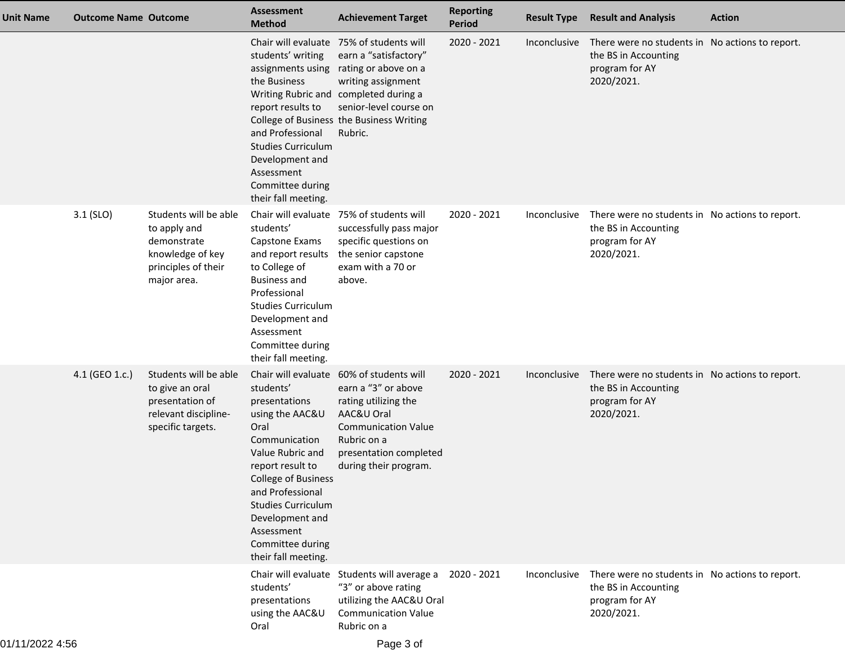| <b>Unit Name</b> | <b>Outcome Name Outcome</b> |                                                                                                                | <b>Assessment</b><br><b>Method</b>                                                                                                                                                                                                                                        | <b>Achievement Target</b>                                                                                                                                                                                                                                   | <b>Reporting</b><br><b>Period</b> | <b>Result Type</b> | <b>Result and Analysis</b>                                                                              | <b>Action</b> |
|------------------|-----------------------------|----------------------------------------------------------------------------------------------------------------|---------------------------------------------------------------------------------------------------------------------------------------------------------------------------------------------------------------------------------------------------------------------------|-------------------------------------------------------------------------------------------------------------------------------------------------------------------------------------------------------------------------------------------------------------|-----------------------------------|--------------------|---------------------------------------------------------------------------------------------------------|---------------|
|                  |                             |                                                                                                                | students' writing<br>the Business<br>report results to<br>and Professional<br><b>Studies Curriculum</b><br>Development and<br>Assessment<br>Committee during<br>their fall meeting.                                                                                       | Chair will evaluate 75% of students will<br>earn a "satisfactory"<br>assignments using rating or above on a<br>writing assignment<br>Writing Rubric and completed during a<br>senior-level course on<br>College of Business the Business Writing<br>Rubric. | 2020 - 2021                       | Inconclusive       | There were no students in No actions to report.<br>the BS in Accounting<br>program for AY<br>2020/2021. |               |
|                  | 3.1 (SLO)                   | Students will be able<br>to apply and<br>demonstrate<br>knowledge of key<br>principles of their<br>major area. | students'<br>Capstone Exams<br>and report results<br>to College of<br><b>Business and</b><br>Professional<br><b>Studies Curriculum</b><br>Development and<br>Assessment<br>Committee during<br>their fall meeting.                                                        | Chair will evaluate 75% of students will<br>successfully pass major<br>specific questions on<br>the senior capstone<br>exam with a 70 or<br>above.                                                                                                          | 2020 - 2021                       | Inconclusive       | There were no students in No actions to report.<br>the BS in Accounting<br>program for AY<br>2020/2021. |               |
|                  | 4.1 (GEO 1.c.)              | Students will be able<br>to give an oral<br>presentation of<br>relevant discipline-<br>specific targets.       | students'<br>presentations<br>using the AAC&U<br>Oral<br>Communication<br>Value Rubric and<br>report result to<br><b>College of Business</b><br>and Professional<br><b>Studies Curriculum</b><br>Development and<br>Assessment<br>Committee during<br>their fall meeting. | Chair will evaluate 60% of students will<br>earn a "3" or above<br>rating utilizing the<br>AAC&U Oral<br><b>Communication Value</b><br>Rubric on a<br>presentation completed<br>during their program.                                                       | 2020 - 2021                       | Inconclusive       | There were no students in No actions to report.<br>the BS in Accounting<br>program for AY<br>2020/2021. |               |
|                  |                             |                                                                                                                | students'<br>presentations<br>using the AAC&U<br>Oral                                                                                                                                                                                                                     | Chair will evaluate Students will average a<br>"3" or above rating<br>utilizing the AAC&U Oral<br><b>Communication Value</b><br>Rubric on a                                                                                                                 | 2020 - 2021                       | Inconclusive       | There were no students in No actions to report.<br>the BS in Accounting<br>program for AY<br>2020/2021. |               |
| 01/11/2022 4:56  |                             |                                                                                                                |                                                                                                                                                                                                                                                                           | Page 3 of                                                                                                                                                                                                                                                   |                                   |                    |                                                                                                         |               |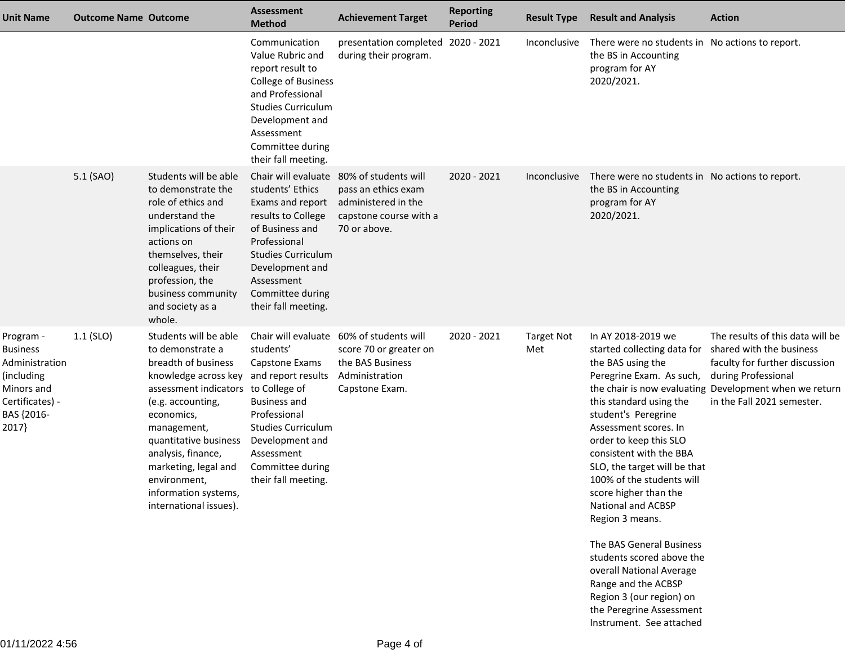| <b>Unit Name</b>                                                                                                     | <b>Outcome Name Outcome</b> |                                                                                                                                                                                                                                                                                                                                               | <b>Assessment</b><br><b>Method</b>                                                                                                                                                                                            | <b>Achievement Target</b>                                                                                    | <b>Reporting</b><br><b>Period</b> | <b>Result Type</b>       | <b>Result and Analysis</b>                                                                                                                                                                                                                                                                                                                                                                                                                                                                                                                                        | <b>Action</b>                                                                                                                                                                                                 |
|----------------------------------------------------------------------------------------------------------------------|-----------------------------|-----------------------------------------------------------------------------------------------------------------------------------------------------------------------------------------------------------------------------------------------------------------------------------------------------------------------------------------------|-------------------------------------------------------------------------------------------------------------------------------------------------------------------------------------------------------------------------------|--------------------------------------------------------------------------------------------------------------|-----------------------------------|--------------------------|-------------------------------------------------------------------------------------------------------------------------------------------------------------------------------------------------------------------------------------------------------------------------------------------------------------------------------------------------------------------------------------------------------------------------------------------------------------------------------------------------------------------------------------------------------------------|---------------------------------------------------------------------------------------------------------------------------------------------------------------------------------------------------------------|
|                                                                                                                      |                             |                                                                                                                                                                                                                                                                                                                                               | Communication<br>Value Rubric and<br>report result to<br>College of Business<br>and Professional<br><b>Studies Curriculum</b><br>Development and<br>Assessment<br>Committee during<br>their fall meeting.                     | presentation completed 2020 - 2021<br>during their program.                                                  |                                   | Inconclusive             | There were no students in No actions to report.<br>the BS in Accounting<br>program for AY<br>2020/2021.                                                                                                                                                                                                                                                                                                                                                                                                                                                           |                                                                                                                                                                                                               |
|                                                                                                                      | 5.1 (SAO)                   | Students will be able<br>to demonstrate the<br>role of ethics and<br>understand the<br>implications of their<br>actions on<br>themselves, their<br>colleagues, their<br>profession, the<br>business community<br>and society as a<br>whole.                                                                                                   | Chair will evaluate<br>students' Ethics<br>Exams and report<br>results to College<br>of Business and<br>Professional<br><b>Studies Curriculum</b><br>Development and<br>Assessment<br>Committee during<br>their fall meeting. | 80% of students will<br>pass an ethics exam<br>administered in the<br>capstone course with a<br>70 or above. | 2020 - 2021                       | Inconclusive             | There were no students in No actions to report.<br>the BS in Accounting<br>program for AY<br>2020/2021.                                                                                                                                                                                                                                                                                                                                                                                                                                                           |                                                                                                                                                                                                               |
| Program -<br><b>Business</b><br>Administration<br>(including<br>Minors and<br>Certificates) -<br>BAS {2016-<br>2017} | $1.1$ (SLO)                 | Students will be able<br>to demonstrate a<br>breadth of business<br>knowledge across key and report results<br>assessment indicators to College of<br>(e.g. accounting,<br>economics,<br>management,<br>quantitative business<br>analysis, finance,<br>marketing, legal and<br>environment,<br>information systems,<br>international issues). | Chair will evaluate<br>students'<br>Capstone Exams<br><b>Business and</b><br>Professional<br><b>Studies Curriculum</b><br>Development and<br>Assessment<br>Committee during<br>their fall meeting.                            | 60% of students will<br>score 70 or greater on<br>the BAS Business<br>Administration<br>Capstone Exam.       | 2020 - 2021                       | <b>Target Not</b><br>Met | In AY 2018-2019 we<br>started collecting data for<br>the BAS using the<br>Peregrine Exam. As such,<br>this standard using the<br>student's Peregrine<br>Assessment scores. In<br>order to keep this SLO<br>consistent with the BBA<br>SLO, the target will be that<br>100% of the students will<br>score higher than the<br>National and ACBSP<br>Region 3 means.<br>The BAS General Business<br>students scored above the<br>overall National Average<br>Range and the ACBSP<br>Region 3 (our region) on<br>the Peregrine Assessment<br>Instrument. See attached | The results of this data will be<br>shared with the business<br>faculty for further discussion<br>during Professional<br>the chair is now evaluating Development when we return<br>in the Fall 2021 semester. |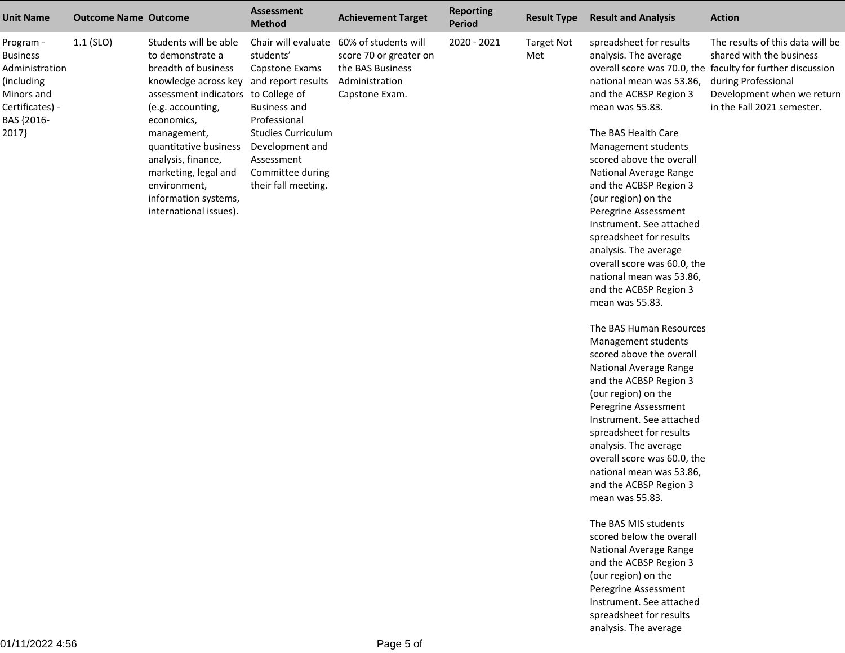| <b>Unit Name</b>                                                                                                     | <b>Outcome Name Outcome</b> |                                                                                                                                                                                                                                                                                                                                               | <b>Assessment</b><br><b>Method</b>                                                                                                                                          | <b>Achievement Target</b>                                                                                                  | <b>Reporting</b><br>Period | <b>Result Type</b>       | <b>Result and Analysis</b>                                                                                                                                                                                                                                                                                                                                                                                                                                                                                                                                                                                                                                                                                                                                                                                                                                                                                                                                                                                                     | <b>Action</b>                                                                                                                                                                                                 |
|----------------------------------------------------------------------------------------------------------------------|-----------------------------|-----------------------------------------------------------------------------------------------------------------------------------------------------------------------------------------------------------------------------------------------------------------------------------------------------------------------------------------------|-----------------------------------------------------------------------------------------------------------------------------------------------------------------------------|----------------------------------------------------------------------------------------------------------------------------|----------------------------|--------------------------|--------------------------------------------------------------------------------------------------------------------------------------------------------------------------------------------------------------------------------------------------------------------------------------------------------------------------------------------------------------------------------------------------------------------------------------------------------------------------------------------------------------------------------------------------------------------------------------------------------------------------------------------------------------------------------------------------------------------------------------------------------------------------------------------------------------------------------------------------------------------------------------------------------------------------------------------------------------------------------------------------------------------------------|---------------------------------------------------------------------------------------------------------------------------------------------------------------------------------------------------------------|
| Program -<br><b>Business</b><br>Administration<br>(including<br>Minors and<br>Certificates) -<br>BAS {2016-<br>2017} | 1.1 (SLO)                   | Students will be able<br>to demonstrate a<br>breadth of business<br>knowledge across key and report results<br>assessment indicators to College of<br>(e.g. accounting,<br>economics,<br>management,<br>quantitative business<br>analysis, finance,<br>marketing, legal and<br>environment,<br>information systems,<br>international issues). | students'<br>Capstone Exams<br><b>Business and</b><br>Professional<br><b>Studies Curriculum</b><br>Development and<br>Assessment<br>Committee during<br>their fall meeting. | Chair will evaluate 60% of students will<br>score 70 or greater on<br>the BAS Business<br>Administration<br>Capstone Exam. | 2020 - 2021                | <b>Target Not</b><br>Met | spreadsheet for results<br>analysis. The average<br>national mean was 53.86,<br>and the ACBSP Region 3<br>mean was 55.83.<br>The BAS Health Care<br>Management students<br>scored above the overall<br>National Average Range<br>and the ACBSP Region 3<br>(our region) on the<br>Peregrine Assessment<br>Instrument. See attached<br>spreadsheet for results<br>analysis. The average<br>overall score was 60.0, the<br>national mean was 53.86,<br>and the ACBSP Region 3<br>mean was 55.83.<br>The BAS Human Resources<br>Management students<br>scored above the overall<br>National Average Range<br>and the ACBSP Region 3<br>(our region) on the<br>Peregrine Assessment<br>Instrument. See attached<br>spreadsheet for results<br>analysis. The average<br>overall score was 60.0, the<br>national mean was 53.86,<br>and the ACBSP Region 3<br>mean was 55.83.<br>The BAS MIS students<br>scored below the overall<br>National Average Range<br>and the ACBSP Region 3<br>(our region) on the<br>Peregrine Assessment | The results of this data will be<br>shared with the business<br>overall score was 70.0, the faculty for further discussion<br>during Professional<br>Development when we return<br>in the Fall 2021 semester. |
|                                                                                                                      |                             |                                                                                                                                                                                                                                                                                                                                               |                                                                                                                                                                             |                                                                                                                            |                            |                          | Instrument. See attached<br>spreadsheet for results                                                                                                                                                                                                                                                                                                                                                                                                                                                                                                                                                                                                                                                                                                                                                                                                                                                                                                                                                                            |                                                                                                                                                                                                               |

analysis. The average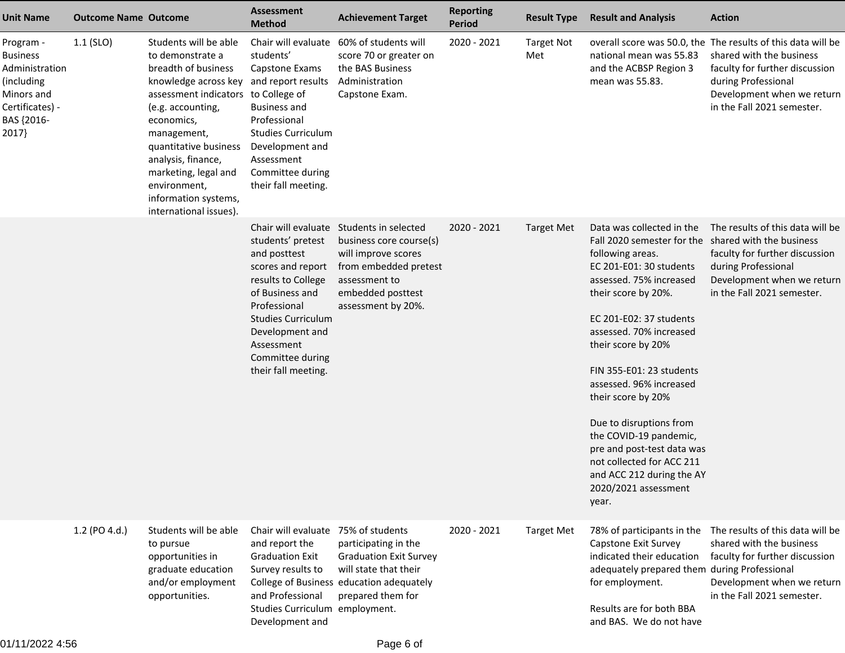| <b>Unit Name</b>                                                                                                     | <b>Outcome Name Outcome</b> |                                                                                                                                                                                                                                                                                                                                               | <b>Assessment</b><br><b>Method</b>                                                                                                                                                                                       | <b>Achievement Target</b>                                                                                                                                                       | <b>Reporting</b><br>Period | <b>Result Type</b>       | <b>Result and Analysis</b>                                                                                                                                                                                                                                                                                                                                                                                                                                                                                               | <b>Action</b>                                                                                                                                                                                                 |
|----------------------------------------------------------------------------------------------------------------------|-----------------------------|-----------------------------------------------------------------------------------------------------------------------------------------------------------------------------------------------------------------------------------------------------------------------------------------------------------------------------------------------|--------------------------------------------------------------------------------------------------------------------------------------------------------------------------------------------------------------------------|---------------------------------------------------------------------------------------------------------------------------------------------------------------------------------|----------------------------|--------------------------|--------------------------------------------------------------------------------------------------------------------------------------------------------------------------------------------------------------------------------------------------------------------------------------------------------------------------------------------------------------------------------------------------------------------------------------------------------------------------------------------------------------------------|---------------------------------------------------------------------------------------------------------------------------------------------------------------------------------------------------------------|
| Program -<br><b>Business</b><br>Administration<br>(including<br>Minors and<br>Certificates) -<br>BAS {2016-<br>2017} | $1.1$ (SLO)                 | Students will be able<br>to demonstrate a<br>breadth of business<br>knowledge across key and report results<br>assessment indicators to College of<br>(e.g. accounting,<br>economics,<br>management,<br>quantitative business<br>analysis, finance,<br>marketing, legal and<br>environment,<br>information systems,<br>international issues). | Chair will evaluate<br>students'<br>Capstone Exams<br><b>Business and</b><br>Professional<br><b>Studies Curriculum</b><br>Development and<br>Assessment<br>Committee during<br>their fall meeting.                       | 60% of students will<br>score 70 or greater on<br>the BAS Business<br>Administration<br>Capstone Exam.                                                                          | 2020 - 2021                | <b>Target Not</b><br>Met | national mean was 55.83<br>and the ACBSP Region 3<br>mean was 55.83.                                                                                                                                                                                                                                                                                                                                                                                                                                                     | overall score was 50.0, the The results of this data will be<br>shared with the business<br>faculty for further discussion<br>during Professional<br>Development when we return<br>in the Fall 2021 semester. |
|                                                                                                                      |                             |                                                                                                                                                                                                                                                                                                                                               | students' pretest<br>and posttest<br>scores and report<br>results to College<br>of Business and<br>Professional<br><b>Studies Curriculum</b><br>Development and<br>Assessment<br>Committee during<br>their fall meeting. | Chair will evaluate Students in selected<br>business core course(s)<br>will improve scores<br>from embedded pretest<br>assessment to<br>embedded posttest<br>assessment by 20%. | 2020 - 2021                | <b>Target Met</b>        | Data was collected in the<br>Fall 2020 semester for the shared with the business<br>following areas.<br>EC 201-E01: 30 students<br>assessed. 75% increased<br>their score by 20%.<br>EC 201-E02: 37 students<br>assessed. 70% increased<br>their score by 20%<br>FIN 355-E01: 23 students<br>assessed. 96% increased<br>their score by 20%<br>Due to disruptions from<br>the COVID-19 pandemic,<br>pre and post-test data was<br>not collected for ACC 211<br>and ACC 212 during the AY<br>2020/2021 assessment<br>year. | The results of this data will be<br>faculty for further discussion<br>during Professional<br>Development when we return<br>in the Fall 2021 semester.                                                         |
|                                                                                                                      | 1.2 (PO 4.d.)               | Students will be able<br>to pursue<br>opportunities in<br>graduate education<br>and/or employment<br>opportunities.                                                                                                                                                                                                                           | Chair will evaluate 75% of students<br>and report the<br><b>Graduation Exit</b><br>Survey results to<br>and Professional<br>Studies Curriculum employment.<br>Development and                                            | participating in the<br><b>Graduation Exit Survey</b><br>will state that their<br>College of Business education adequately<br>prepared them for                                 | 2020 - 2021                | <b>Target Met</b>        | 78% of participants in the<br>Capstone Exit Survey<br>indicated their education<br>adequately prepared them during Professional<br>for employment.<br>Results are for both BBA<br>and BAS. We do not have                                                                                                                                                                                                                                                                                                                | The results of this data will be<br>shared with the business<br>faculty for further discussion<br>Development when we return<br>in the Fall 2021 semester.                                                    |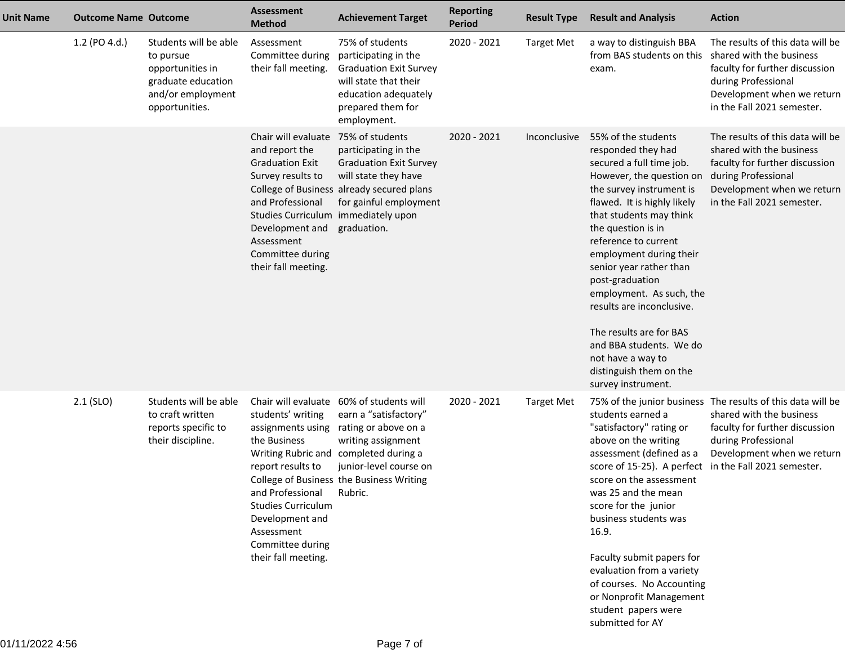| <b>Unit Name</b> | <b>Outcome Name Outcome</b> |                                                                                                                     | Assessment<br><b>Method</b>                                                                                                                                                                                                     | <b>Achievement Target</b>                                                                                                                                                                                             | <b>Reporting</b><br><b>Period</b> | <b>Result Type</b> | <b>Result and Analysis</b>                                                                                                                                                                                                                                                                                                                                                                                                                                                                          | <b>Action</b>                                                                                                                                                                     |
|------------------|-----------------------------|---------------------------------------------------------------------------------------------------------------------|---------------------------------------------------------------------------------------------------------------------------------------------------------------------------------------------------------------------------------|-----------------------------------------------------------------------------------------------------------------------------------------------------------------------------------------------------------------------|-----------------------------------|--------------------|-----------------------------------------------------------------------------------------------------------------------------------------------------------------------------------------------------------------------------------------------------------------------------------------------------------------------------------------------------------------------------------------------------------------------------------------------------------------------------------------------------|-----------------------------------------------------------------------------------------------------------------------------------------------------------------------------------|
|                  | 1.2 (PO 4.d.)               | Students will be able<br>to pursue<br>opportunities in<br>graduate education<br>and/or employment<br>opportunities. | Assessment<br>Committee during<br>their fall meeting.                                                                                                                                                                           | 75% of students<br>participating in the<br><b>Graduation Exit Survey</b><br>will state that their<br>education adequately<br>prepared them for<br>employment.                                                         | 2020 - 2021                       | <b>Target Met</b>  | a way to distinguish BBA<br>from BAS students on this<br>exam.                                                                                                                                                                                                                                                                                                                                                                                                                                      | The results of this data will be<br>shared with the business<br>faculty for further discussion<br>during Professional<br>Development when we return<br>in the Fall 2021 semester. |
|                  |                             |                                                                                                                     | Chair will evaluate<br>and report the<br><b>Graduation Exit</b><br>Survey results to<br>and Professional<br>Studies Curriculum immediately upon<br>Development and<br>Assessment<br>Committee during<br>their fall meeting.     | 75% of students<br>participating in the<br><b>Graduation Exit Survey</b><br>will state they have<br>College of Business already secured plans<br>for gainful employment<br>graduation.                                | 2020 - 2021                       | Inconclusive       | 55% of the students<br>responded they had<br>secured a full time job.<br>However, the question on<br>the survey instrument is<br>flawed. It is highly likely<br>that students may think<br>the question is in<br>reference to current<br>employment during their<br>senior year rather than<br>post-graduation<br>employment. As such, the<br>results are inconclusive.<br>The results are for BAS<br>and BBA students. We do<br>not have a way to<br>distinguish them on the<br>survey instrument. | The results of this data will be<br>shared with the business<br>faculty for further discussion<br>during Professional<br>Development when we return<br>in the Fall 2021 semester. |
|                  | 2.1 (SLO)                   | Students will be able<br>to craft written<br>reports specific to<br>their discipline.                               | Chair will evaluate<br>students' writing<br>assignments using<br>the Business<br>report results to<br>and Professional<br><b>Studies Curriculum</b><br>Development and<br>Assessment<br>Committee during<br>their fall meeting. | 60% of students will<br>earn a "satisfactory"<br>rating or above on a<br>writing assignment<br>Writing Rubric and completed during a<br>junior-level course on<br>College of Business the Business Writing<br>Rubric. | 2020 - 2021                       | <b>Target Met</b>  | students earned a<br>"satisfactory" rating or<br>above on the writing<br>assessment (defined as a<br>score of 15-25). A perfect in the Fall 2021 semester.<br>score on the assessment<br>was 25 and the mean<br>score for the junior<br>business students was<br>16.9.<br>Faculty submit papers for<br>evaluation from a variety<br>of courses. No Accounting<br>or Nonprofit Management<br>student papers were<br>submitted for AY                                                                 | 75% of the junior business The results of this data will be<br>shared with the business<br>faculty for further discussion<br>during Professional<br>Development when we return    |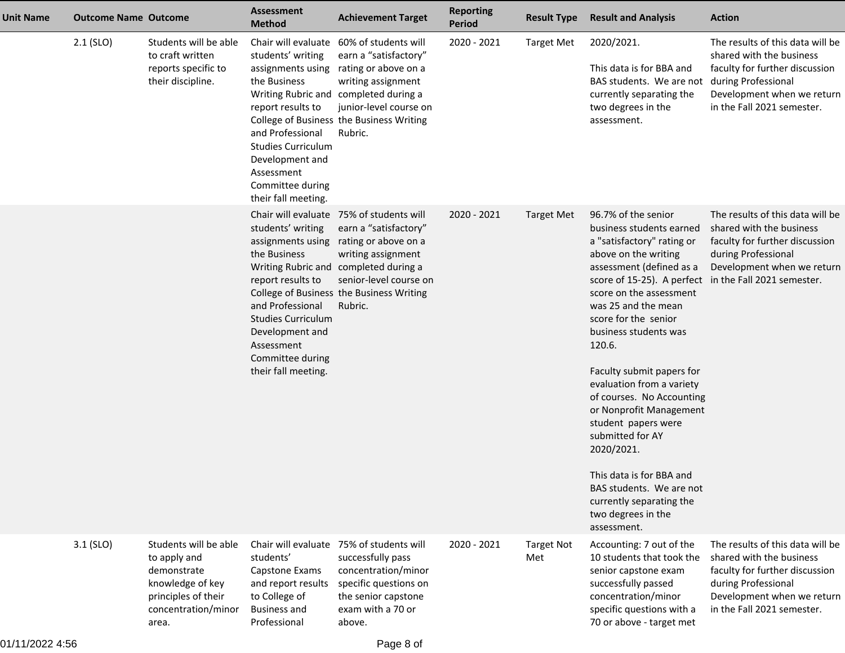| <b>Unit Name</b> | <b>Outcome Name Outcome</b> |                                                                                                                                 | <b>Assessment</b><br><b>Method</b>                                                                                                                                                                       | <b>Achievement Target</b>                                                                                                                                                                                                                 | <b>Reporting</b><br>Period | <b>Result Type</b>       | <b>Result and Analysis</b>                                                                                                                                                                                                                                                                                                                                                                                                                                                                                                                                                                                  | <b>Action</b>                                                                                                                                                                     |
|------------------|-----------------------------|---------------------------------------------------------------------------------------------------------------------------------|----------------------------------------------------------------------------------------------------------------------------------------------------------------------------------------------------------|-------------------------------------------------------------------------------------------------------------------------------------------------------------------------------------------------------------------------------------------|----------------------------|--------------------------|-------------------------------------------------------------------------------------------------------------------------------------------------------------------------------------------------------------------------------------------------------------------------------------------------------------------------------------------------------------------------------------------------------------------------------------------------------------------------------------------------------------------------------------------------------------------------------------------------------------|-----------------------------------------------------------------------------------------------------------------------------------------------------------------------------------|
|                  | $2.1$ (SLO)                 | Students will be able<br>to craft written<br>reports specific to<br>their discipline.                                           | students' writing<br>assignments using<br>the Business<br>report results to<br>and Professional<br><b>Studies Curriculum</b><br>Development and<br>Assessment<br>Committee during<br>their fall meeting. | Chair will evaluate 60% of students will<br>earn a "satisfactory"<br>rating or above on a<br>writing assignment<br>Writing Rubric and completed during a<br>junior-level course on<br>College of Business the Business Writing<br>Rubric. | 2020 - 2021                | <b>Target Met</b>        | 2020/2021.<br>This data is for BBA and<br>BAS students. We are not<br>currently separating the<br>two degrees in the<br>assessment.                                                                                                                                                                                                                                                                                                                                                                                                                                                                         | The results of this data will be<br>shared with the business<br>faculty for further discussion<br>during Professional<br>Development when we return<br>in the Fall 2021 semester. |
|                  |                             |                                                                                                                                 | students' writing<br>assignments using<br>the Business<br>report results to<br>and Professional<br><b>Studies Curriculum</b><br>Development and<br>Assessment<br>Committee during<br>their fall meeting. | Chair will evaluate 75% of students will<br>earn a "satisfactory"<br>rating or above on a<br>writing assignment<br>Writing Rubric and completed during a<br>senior-level course on<br>College of Business the Business Writing<br>Rubric. | 2020 - 2021                | <b>Target Met</b>        | 96.7% of the senior<br>business students earned<br>a "satisfactory" rating or<br>above on the writing<br>assessment (defined as a<br>score of 15-25). A perfect in the Fall 2021 semester.<br>score on the assessment<br>was 25 and the mean<br>score for the senior<br>business students was<br>120.6.<br>Faculty submit papers for<br>evaluation from a variety<br>of courses. No Accounting<br>or Nonprofit Management<br>student papers were<br>submitted for AY<br>2020/2021.<br>This data is for BBA and<br>BAS students. We are not<br>currently separating the<br>two degrees in the<br>assessment. | The results of this data will be<br>shared with the business<br>faculty for further discussion<br>during Professional<br>Development when we return                               |
|                  | $3.1$ (SLO)                 | Students will be able<br>to apply and<br>demonstrate<br>knowledge of key<br>principles of their<br>concentration/minor<br>area. | students'<br>Capstone Exams<br>and report results<br>to College of<br><b>Business and</b><br>Professional                                                                                                | Chair will evaluate 75% of students will<br>successfully pass<br>concentration/minor<br>specific questions on<br>the senior capstone<br>exam with a 70 or<br>above.                                                                       | 2020 - 2021                | <b>Target Not</b><br>Met | Accounting: 7 out of the<br>10 students that took the<br>senior capstone exam<br>successfully passed<br>concentration/minor<br>specific questions with a<br>70 or above - target met                                                                                                                                                                                                                                                                                                                                                                                                                        | The results of this data will be<br>shared with the business<br>faculty for further discussion<br>during Professional<br>Development when we return<br>in the Fall 2021 semester. |

01/11/2022 4:56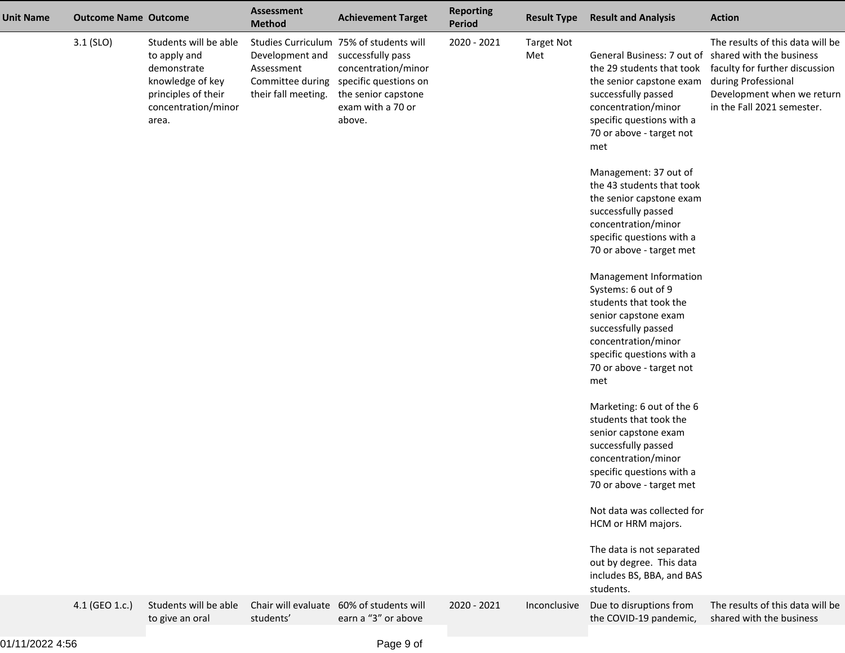| <b>Unit Name</b> | <b>Outcome Name Outcome</b> |                                                                                                                                 | <b>Assessment</b><br><b>Method</b>                                       | <b>Achievement Target</b>                                                                                                                                          | <b>Reporting</b><br>Period | <b>Result Type</b>       | <b>Result and Analysis</b>                                                                                                                                                                                                 | <b>Action</b>                                                                                                                                         |
|------------------|-----------------------------|---------------------------------------------------------------------------------------------------------------------------------|--------------------------------------------------------------------------|--------------------------------------------------------------------------------------------------------------------------------------------------------------------|----------------------------|--------------------------|----------------------------------------------------------------------------------------------------------------------------------------------------------------------------------------------------------------------------|-------------------------------------------------------------------------------------------------------------------------------------------------------|
|                  | $3.1$ (SLO)                 | Students will be able<br>to apply and<br>demonstrate<br>knowledge of key<br>principles of their<br>concentration/minor<br>area. | Development and<br>Assessment<br>Committee during<br>their fall meeting. | Studies Curriculum 75% of students will<br>successfully pass<br>concentration/minor<br>specific questions on<br>the senior capstone<br>exam with a 70 or<br>above. | 2020 - 2021                | <b>Target Not</b><br>Met | General Business: 7 out of shared with the business<br>the 29 students that took<br>the senior capstone exam<br>successfully passed<br>concentration/minor<br>specific questions with a<br>70 or above - target not<br>met | The results of this data will be<br>faculty for further discussion<br>during Professional<br>Development when we return<br>in the Fall 2021 semester. |
|                  |                             |                                                                                                                                 |                                                                          |                                                                                                                                                                    |                            |                          | Management: 37 out of<br>the 43 students that took<br>the senior capstone exam<br>successfully passed<br>concentration/minor<br>specific questions with a<br>70 or above - target met                                      |                                                                                                                                                       |
|                  |                             |                                                                                                                                 |                                                                          |                                                                                                                                                                    |                            |                          | Management Information<br>Systems: 6 out of 9<br>students that took the<br>senior capstone exam<br>successfully passed<br>concentration/minor<br>specific questions with a<br>70 or above - target not<br>met              |                                                                                                                                                       |
|                  |                             |                                                                                                                                 |                                                                          |                                                                                                                                                                    |                            |                          | Marketing: 6 out of the 6<br>students that took the<br>senior capstone exam<br>successfully passed<br>concentration/minor<br>specific questions with a<br>70 or above - target met                                         |                                                                                                                                                       |
|                  |                             |                                                                                                                                 |                                                                          |                                                                                                                                                                    |                            |                          | Not data was collected for<br>HCM or HRM majors.<br>The data is not separated<br>out by degree. This data<br>includes BS, BBA, and BAS<br>students.                                                                        |                                                                                                                                                       |
|                  | 4.1 (GEO 1.c.)              | Students will be able<br>to give an oral                                                                                        | Chair will evaluate<br>students'                                         | 60% of students will<br>earn a "3" or above                                                                                                                        | 2020 - 2021                | Inconclusive             | Due to disruptions from<br>the COVID-19 pandemic,                                                                                                                                                                          | The results of this data will be<br>shared with the business                                                                                          |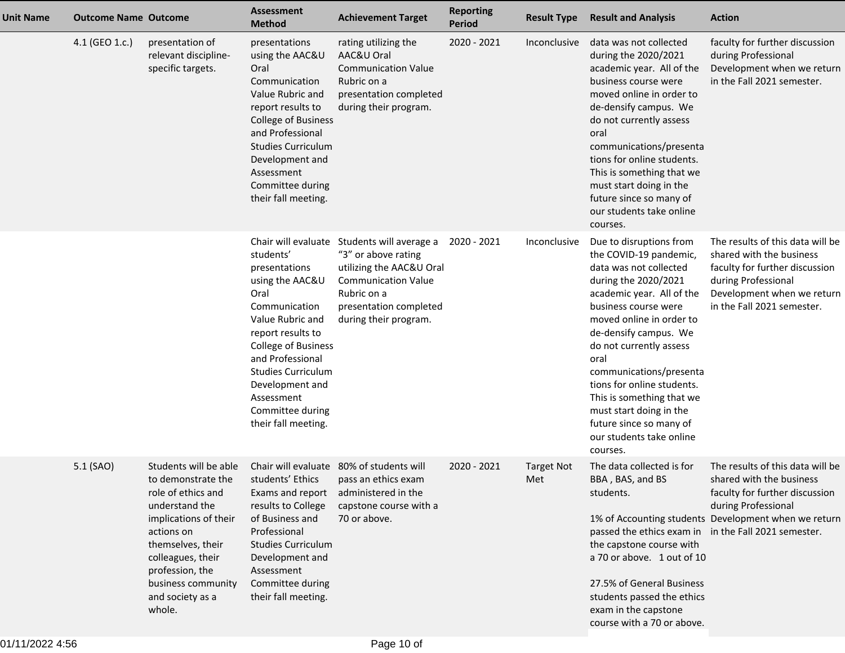| <b>Unit Name</b> | <b>Outcome Name Outcome</b> |                                                                                                                                                                                                                                             | <b>Assessment</b><br><b>Method</b>                                                                                                                                                                                                                                  | <b>Achievement Target</b>                                                                                                                                                                      | <b>Reporting</b><br><b>Period</b> | <b>Result Type</b>       | <b>Result and Analysis</b>                                                                                                                                                                                                                                                                                                                                                                                                           | <b>Action</b>                                                                                                                                                                     |
|------------------|-----------------------------|---------------------------------------------------------------------------------------------------------------------------------------------------------------------------------------------------------------------------------------------|---------------------------------------------------------------------------------------------------------------------------------------------------------------------------------------------------------------------------------------------------------------------|------------------------------------------------------------------------------------------------------------------------------------------------------------------------------------------------|-----------------------------------|--------------------------|--------------------------------------------------------------------------------------------------------------------------------------------------------------------------------------------------------------------------------------------------------------------------------------------------------------------------------------------------------------------------------------------------------------------------------------|-----------------------------------------------------------------------------------------------------------------------------------------------------------------------------------|
|                  | 4.1 (GEO 1.c.)              | presentation of<br>relevant discipline-<br>specific targets.                                                                                                                                                                                | presentations<br>using the AAC&U<br>Oral<br>Communication<br>Value Rubric and<br>report results to<br><b>College of Business</b><br>and Professional<br><b>Studies Curriculum</b><br>Development and<br>Assessment<br>Committee during<br>their fall meeting.       | rating utilizing the<br>AAC&U Oral<br><b>Communication Value</b><br>Rubric on a<br>presentation completed<br>during their program.                                                             | 2020 - 2021                       | Inconclusive             | data was not collected<br>during the 2020/2021<br>academic year. All of the<br>business course were<br>moved online in order to<br>de-densify campus. We<br>do not currently assess<br>oral<br>communications/presenta<br>tions for online students.<br>This is something that we<br>must start doing in the<br>future since so many of<br>our students take online<br>courses.                                                      | faculty for further discussion<br>during Professional<br>Development when we return<br>in the Fall 2021 semester.                                                                 |
|                  |                             |                                                                                                                                                                                                                                             | students'<br>presentations<br>using the AAC&U<br>Oral<br>Communication<br>Value Rubric and<br>report results to<br>College of Business<br>and Professional<br><b>Studies Curriculum</b><br>Development and<br>Assessment<br>Committee during<br>their fall meeting. | Chair will evaluate Students will average a<br>"3" or above rating<br>utilizing the AAC&U Oral<br><b>Communication Value</b><br>Rubric on a<br>presentation completed<br>during their program. | 2020 - 2021                       | Inconclusive             | Due to disruptions from<br>the COVID-19 pandemic,<br>data was not collected<br>during the 2020/2021<br>academic year. All of the<br>business course were<br>moved online in order to<br>de-densify campus. We<br>do not currently assess<br>oral<br>communications/presenta<br>tions for online students.<br>This is something that we<br>must start doing in the<br>future since so many of<br>our students take online<br>courses. | The results of this data will be<br>shared with the business<br>faculty for further discussion<br>during Professional<br>Development when we return<br>in the Fall 2021 semester. |
|                  | 5.1 (SAO)                   | Students will be able<br>to demonstrate the<br>role of ethics and<br>understand the<br>implications of their<br>actions on<br>themselves, their<br>colleagues, their<br>profession, the<br>business community<br>and society as a<br>whole. | students' Ethics<br>results to College<br>of Business and<br>Professional<br><b>Studies Curriculum</b><br>Development and<br>Assessment<br>Committee during<br>their fall meeting.                                                                                  | Chair will evaluate 80% of students will<br>pass an ethics exam<br>Exams and report administered in the<br>capstone course with a<br>70 or above.                                              | 2020 - 2021                       | <b>Target Not</b><br>Met | The data collected is for<br>BBA, BAS, and BS<br>students.<br>passed the ethics exam in in the Fall 2021 semester.<br>the capstone course with<br>a 70 or above. 1 out of 10<br>27.5% of General Business<br>students passed the ethics<br>exam in the capstone<br>course with a 70 or above.                                                                                                                                        | The results of this data will be<br>shared with the business<br>faculty for further discussion<br>during Professional<br>1% of Accounting students Development when we return     |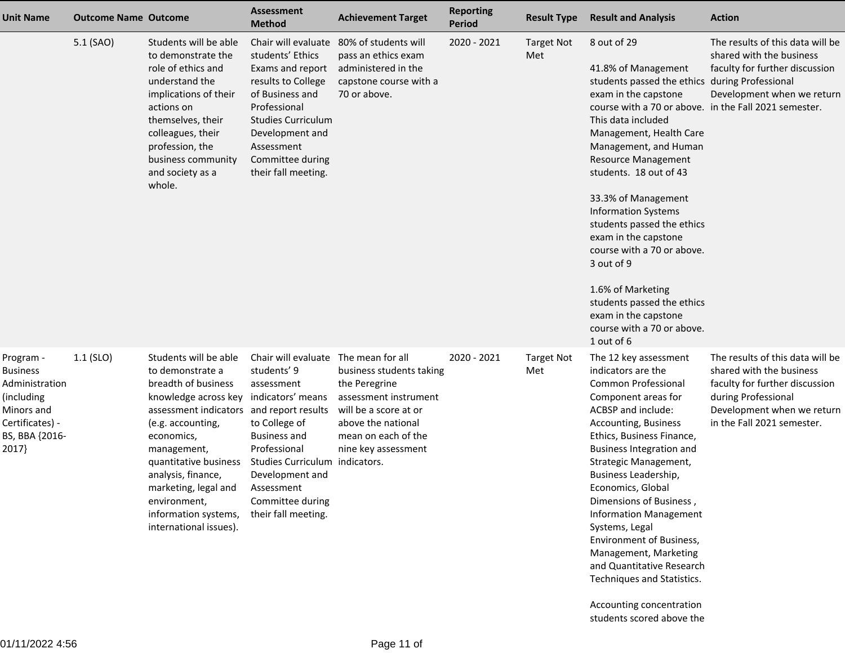| <b>Unit Name</b>                                                                                                         | <b>Outcome Name Outcome</b> |                                                                                                                                                                                                                                                                                                                                                   | <b>Assessment</b><br><b>Method</b>                                                                                                                                                                                            | <b>Achievement Target</b>                                                                                                                                                                          | <b>Reporting</b><br><b>Period</b> | <b>Result Type</b>       | <b>Result and Analysis</b>                                                                                                                                                                                                                                                                                                                                                                                                                                                                                                                                                            | <b>Action</b>                                                                                                                                                                     |
|--------------------------------------------------------------------------------------------------------------------------|-----------------------------|---------------------------------------------------------------------------------------------------------------------------------------------------------------------------------------------------------------------------------------------------------------------------------------------------------------------------------------------------|-------------------------------------------------------------------------------------------------------------------------------------------------------------------------------------------------------------------------------|----------------------------------------------------------------------------------------------------------------------------------------------------------------------------------------------------|-----------------------------------|--------------------------|---------------------------------------------------------------------------------------------------------------------------------------------------------------------------------------------------------------------------------------------------------------------------------------------------------------------------------------------------------------------------------------------------------------------------------------------------------------------------------------------------------------------------------------------------------------------------------------|-----------------------------------------------------------------------------------------------------------------------------------------------------------------------------------|
|                                                                                                                          | 5.1 (SAO)                   | Students will be able<br>to demonstrate the<br>role of ethics and<br>understand the<br>implications of their<br>actions on<br>themselves, their<br>colleagues, their<br>profession, the<br>business community<br>and society as a<br>whole.                                                                                                       | Chair will evaluate<br>students' Ethics<br>Exams and report<br>results to College<br>of Business and<br>Professional<br><b>Studies Curriculum</b><br>Development and<br>Assessment<br>Committee during<br>their fall meeting. | 80% of students will<br>pass an ethics exam<br>administered in the<br>capstone course with a<br>70 or above.                                                                                       | 2020 - 2021                       | <b>Target Not</b><br>Met | 8 out of 29<br>41.8% of Management<br>students passed the ethics during Professional<br>exam in the capstone<br>course with a 70 or above. in the Fall 2021 semester.<br>This data included<br>Management, Health Care<br>Management, and Human<br><b>Resource Management</b><br>students. 18 out of 43<br>33.3% of Management<br><b>Information Systems</b><br>students passed the ethics<br>exam in the capstone<br>course with a 70 or above.<br>3 out of 9<br>1.6% of Marketing<br>students passed the ethics<br>exam in the capstone<br>course with a 70 or above.<br>1 out of 6 | The results of this data will be<br>shared with the business<br>faculty for further discussion<br>Development when we return                                                      |
| Program -<br><b>Business</b><br>Administration<br>(including<br>Minors and<br>Certificates) -<br>BS, BBA {2016-<br>2017} | $1.1$ (SLO)                 | Students will be able<br>to demonstrate a<br>breadth of business<br>knowledge across key indicators' means<br>assessment indicators and report results<br>(e.g. accounting,<br>economics,<br>management,<br>quantitative business<br>analysis, finance,<br>marketing, legal and<br>environment,<br>information systems,<br>international issues). | Chair will evaluate<br>students' 9<br>assessment<br>to College of<br><b>Business and</b><br>Professional<br><b>Studies Curriculum</b><br>Development and<br>Assessment<br>Committee during<br>their fall meeting.             | The mean for all<br>business students taking<br>the Peregrine<br>assessment instrument<br>will be a score at or<br>above the national<br>mean on each of the<br>nine key assessment<br>indicators. | 2020 - 2021                       | <b>Target Not</b><br>Met | The 12 key assessment<br>indicators are the<br><b>Common Professional</b><br>Component areas for<br>ACBSP and include:<br>Accounting, Business<br>Ethics, Business Finance,<br><b>Business Integration and</b><br>Strategic Management,<br>Business Leadership,<br>Economics, Global<br>Dimensions of Business,<br><b>Information Management</b><br>Systems, Legal<br>Environment of Business,<br>Management, Marketing<br>and Quantitative Research<br>Techniques and Statistics.<br>Accounting concentration<br>students scored above the                                           | The results of this data will be<br>shared with the business<br>faculty for further discussion<br>during Professional<br>Development when we return<br>in the Fall 2021 semester. |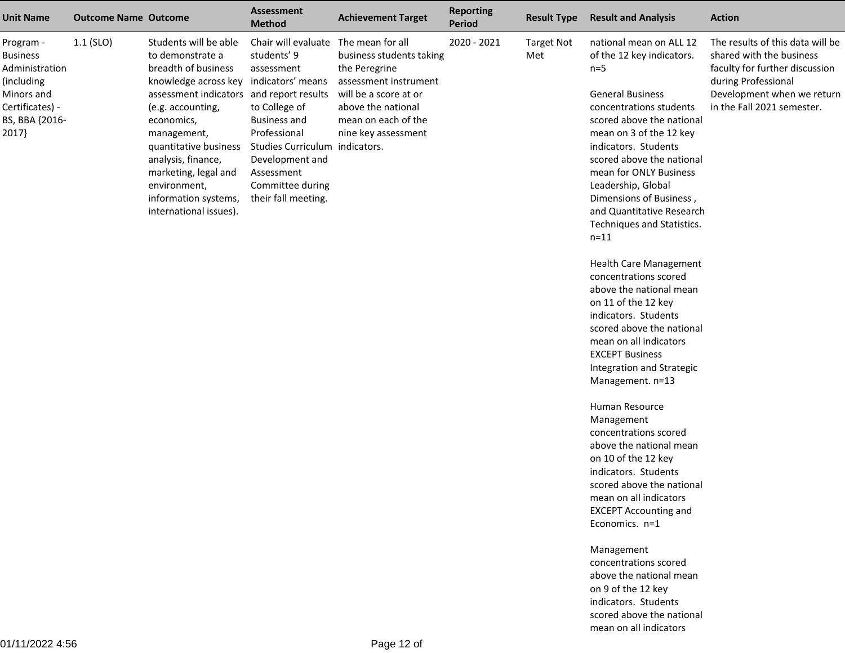| <b>Unit Name</b>                                                                                                         | <b>Outcome Name Outcome</b> |                                                                                                                                                                                                                                                                                                                                 | <b>Assessment</b><br><b>Method</b>                                                                                                                                                                                                          | <b>Achievement Target</b>                                                                                                                                                           | <b>Reporting</b><br>Period | <b>Result Type</b>       | <b>Result and Analysis</b>                                                                                                                                                                                                                                                                                                                                                                                                                                                                                                                                                                                                                                                                                                                                                                                                                                                                           | <b>Action</b>                                                                                                                                                                     |
|--------------------------------------------------------------------------------------------------------------------------|-----------------------------|---------------------------------------------------------------------------------------------------------------------------------------------------------------------------------------------------------------------------------------------------------------------------------------------------------------------------------|---------------------------------------------------------------------------------------------------------------------------------------------------------------------------------------------------------------------------------------------|-------------------------------------------------------------------------------------------------------------------------------------------------------------------------------------|----------------------------|--------------------------|------------------------------------------------------------------------------------------------------------------------------------------------------------------------------------------------------------------------------------------------------------------------------------------------------------------------------------------------------------------------------------------------------------------------------------------------------------------------------------------------------------------------------------------------------------------------------------------------------------------------------------------------------------------------------------------------------------------------------------------------------------------------------------------------------------------------------------------------------------------------------------------------------|-----------------------------------------------------------------------------------------------------------------------------------------------------------------------------------|
| Program -<br><b>Business</b><br>Administration<br>(including<br>Minors and<br>Certificates) -<br>BS, BBA {2016-<br>2017} | $1.1$ (SLO)                 | Students will be able<br>to demonstrate a<br>breadth of business<br>knowledge across key<br>assessment indicators and report results<br>(e.g. accounting,<br>economics,<br>management,<br>quantitative business<br>analysis, finance,<br>marketing, legal and<br>environment,<br>information systems,<br>international issues). | Chair will evaluate<br>students' 9<br>assessment<br>indicators' means<br>to College of<br><b>Business and</b><br>Professional<br>Studies Curriculum indicators.<br>Development and<br>Assessment<br>Committee during<br>their fall meeting. | The mean for all<br>business students taking<br>the Peregrine<br>assessment instrument<br>will be a score at or<br>above the national<br>mean on each of the<br>nine key assessment | 2020 - 2021                | <b>Target Not</b><br>Met | national mean on ALL 12<br>of the 12 key indicators.<br>$n=5$<br><b>General Business</b><br>concentrations students<br>scored above the national<br>mean on 3 of the 12 key<br>indicators. Students<br>scored above the national<br>mean for ONLY Business<br>Leadership, Global<br>Dimensions of Business,<br>and Quantitative Research<br>Techniques and Statistics.<br>$n = 11$<br><b>Health Care Management</b><br>concentrations scored<br>above the national mean<br>on 11 of the 12 key<br>indicators. Students<br>scored above the national<br>mean on all indicators<br><b>EXCEPT Business</b><br>Integration and Strategic<br>Management. n=13<br>Human Resource<br>Management<br>concentrations scored<br>above the national mean<br>on 10 of the 12 key<br>indicators. Students<br>scored above the national<br>mean on all indicators<br><b>EXCEPT Accounting and</b><br>Economics. n=1 | The results of this data will be<br>shared with the business<br>faculty for further discussion<br>during Professional<br>Development when we return<br>in the Fall 2021 semester. |
|                                                                                                                          |                             |                                                                                                                                                                                                                                                                                                                                 |                                                                                                                                                                                                                                             |                                                                                                                                                                                     |                            |                          | Management<br>concentrations scored<br>above the national mean<br>on 9 of the 12 key<br>indicators. Students<br>scored above the national                                                                                                                                                                                                                                                                                                                                                                                                                                                                                                                                                                                                                                                                                                                                                            |                                                                                                                                                                                   |

mean on all indicators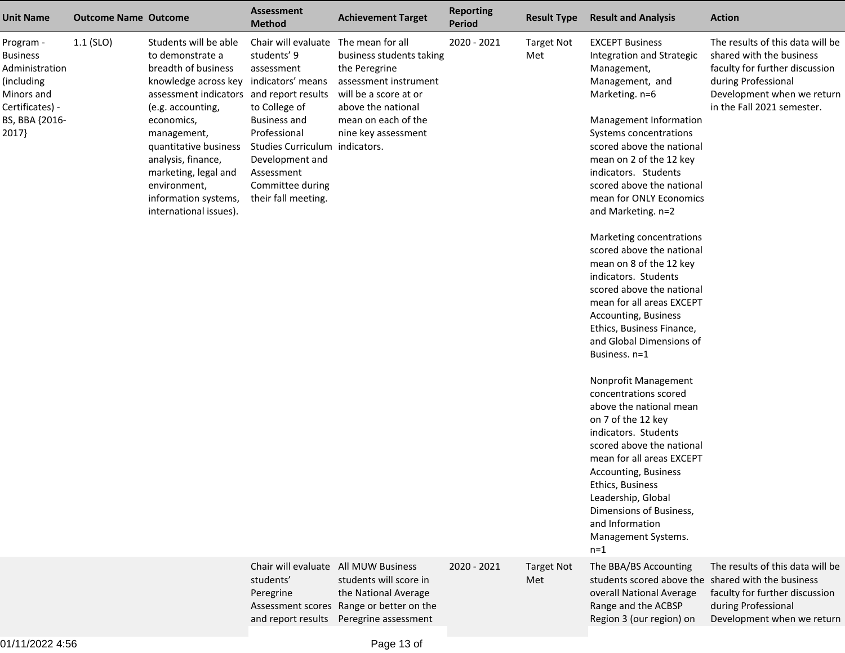| <b>Unit Name</b>                                                                                                         | <b>Outcome Name Outcome</b> |                                                                                                                                                                                                                                                                                                                                                   | <b>Assessment</b><br><b>Method</b>                                                                                                                                                                                     | <b>Achievement Target</b>                                                                                                                                                           | <b>Reporting</b><br><b>Period</b> | <b>Result Type</b>       | <b>Result and Analysis</b>                                                                                                                                                                                                                                                                                                                                                                                                                                                                                                                                                                                                                                                                                                                                                                                                                                                                                                            | <b>Action</b>                                                                                                                                                                     |
|--------------------------------------------------------------------------------------------------------------------------|-----------------------------|---------------------------------------------------------------------------------------------------------------------------------------------------------------------------------------------------------------------------------------------------------------------------------------------------------------------------------------------------|------------------------------------------------------------------------------------------------------------------------------------------------------------------------------------------------------------------------|-------------------------------------------------------------------------------------------------------------------------------------------------------------------------------------|-----------------------------------|--------------------------|---------------------------------------------------------------------------------------------------------------------------------------------------------------------------------------------------------------------------------------------------------------------------------------------------------------------------------------------------------------------------------------------------------------------------------------------------------------------------------------------------------------------------------------------------------------------------------------------------------------------------------------------------------------------------------------------------------------------------------------------------------------------------------------------------------------------------------------------------------------------------------------------------------------------------------------|-----------------------------------------------------------------------------------------------------------------------------------------------------------------------------------|
| Program -<br><b>Business</b><br>Administration<br>(including<br>Minors and<br>Certificates) -<br>BS, BBA {2016-<br>2017} | $1.1$ (SLO)                 | Students will be able<br>to demonstrate a<br>breadth of business<br>knowledge across key indicators' means<br>assessment indicators and report results<br>(e.g. accounting,<br>economics,<br>management,<br>quantitative business<br>analysis, finance,<br>marketing, legal and<br>environment,<br>information systems,<br>international issues). | Chair will evaluate<br>students' 9<br>assessment<br>to College of<br><b>Business and</b><br>Professional<br>Studies Curriculum indicators.<br>Development and<br>Assessment<br>Committee during<br>their fall meeting. | The mean for all<br>business students taking<br>the Peregrine<br>assessment instrument<br>will be a score at or<br>above the national<br>mean on each of the<br>nine key assessment | 2020 - 2021                       | <b>Target Not</b><br>Met | <b>EXCEPT Business</b><br>Integration and Strategic<br>Management,<br>Management, and<br>Marketing. n=6<br>Management Information<br>Systems concentrations<br>scored above the national<br>mean on 2 of the 12 key<br>indicators. Students<br>scored above the national<br>mean for ONLY Economics<br>and Marketing. n=2<br>Marketing concentrations<br>scored above the national<br>mean on 8 of the 12 key<br>indicators. Students<br>scored above the national<br>mean for all areas EXCEPT<br>Accounting, Business<br>Ethics, Business Finance,<br>and Global Dimensions of<br>Business. n=1<br>Nonprofit Management<br>concentrations scored<br>above the national mean<br>on 7 of the 12 key<br>indicators. Students<br>scored above the national<br>mean for all areas EXCEPT<br>Accounting, Business<br>Ethics, Business<br>Leadership, Global<br>Dimensions of Business,<br>and Information<br>Management Systems.<br>$n=1$ | The results of this data will be<br>shared with the business<br>faculty for further discussion<br>during Professional<br>Development when we return<br>in the Fall 2021 semester. |
|                                                                                                                          |                             |                                                                                                                                                                                                                                                                                                                                                   | Chair will evaluate All MUW Business<br>students'<br>Peregrine<br>and report results                                                                                                                                   | students will score in<br>the National Average<br>Assessment scores Range or better on the<br>Peregrine assessment                                                                  | 2020 - 2021                       | <b>Target Not</b><br>Met | The BBA/BS Accounting<br>students scored above the shared with the business<br>overall National Average<br>Range and the ACBSP<br>Region 3 (our region) on                                                                                                                                                                                                                                                                                                                                                                                                                                                                                                                                                                                                                                                                                                                                                                            | The results of this data will be<br>faculty for further discussion<br>during Professional<br>Development when we return                                                           |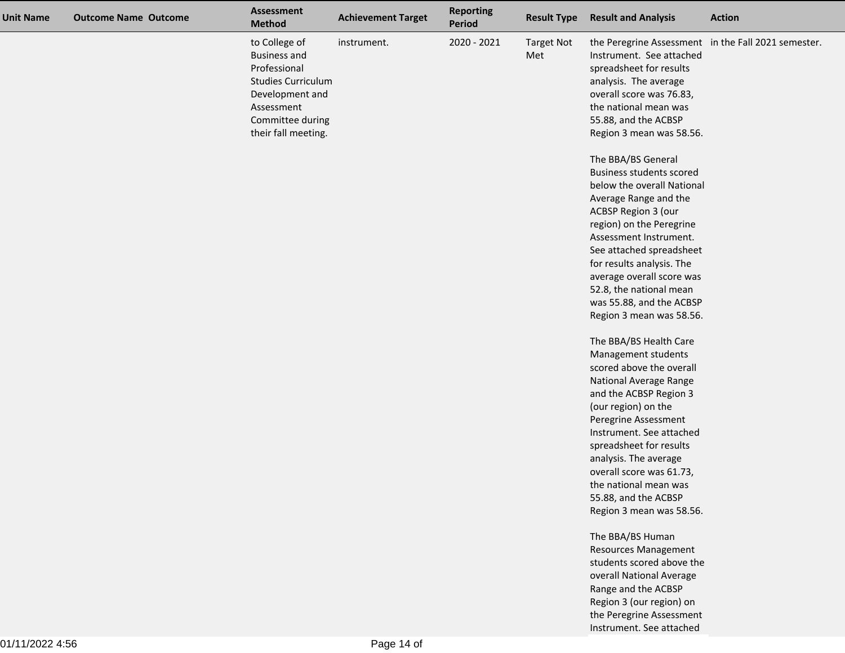| <b>Unit Name</b> | <b>Outcome Name Outcome</b> | <b>Assessment</b><br><b>Method</b>                                                                                                                            | <b>Achievement Target</b> | <b>Reporting</b><br><b>Period</b> | <b>Result Type</b>       | <b>Result and Analysis</b>                                                                                                                                                                                                                                                                                                                                                                                                                                                                                                                                                                                                                                                                                                                                                                                                                                                                                                           | <b>Action</b>                                       |
|------------------|-----------------------------|---------------------------------------------------------------------------------------------------------------------------------------------------------------|---------------------------|-----------------------------------|--------------------------|--------------------------------------------------------------------------------------------------------------------------------------------------------------------------------------------------------------------------------------------------------------------------------------------------------------------------------------------------------------------------------------------------------------------------------------------------------------------------------------------------------------------------------------------------------------------------------------------------------------------------------------------------------------------------------------------------------------------------------------------------------------------------------------------------------------------------------------------------------------------------------------------------------------------------------------|-----------------------------------------------------|
|                  |                             | to College of<br><b>Business and</b><br>Professional<br><b>Studies Curriculum</b><br>Development and<br>Assessment<br>Committee during<br>their fall meeting. | instrument.               | 2020 - 2021                       | <b>Target Not</b><br>Met | Instrument. See attached<br>spreadsheet for results<br>analysis. The average<br>overall score was 76.83,<br>the national mean was<br>55.88, and the ACBSP<br>Region 3 mean was 58.56.<br>The BBA/BS General<br><b>Business students scored</b><br>below the overall National<br>Average Range and the<br>ACBSP Region 3 (our<br>region) on the Peregrine<br>Assessment Instrument.<br>See attached spreadsheet<br>for results analysis. The<br>average overall score was<br>52.8, the national mean<br>was 55.88, and the ACBSP<br>Region 3 mean was 58.56.<br>The BBA/BS Health Care<br>Management students<br>scored above the overall<br>National Average Range<br>and the ACBSP Region 3<br>(our region) on the<br>Peregrine Assessment<br>Instrument. See attached<br>spreadsheet for results<br>analysis. The average<br>overall score was 61.73,<br>the national mean was<br>55.88, and the ACBSP<br>Region 3 mean was 58.56. | the Peregrine Assessment in the Fall 2021 semester. |
|                  |                             |                                                                                                                                                               |                           |                                   |                          | The BBA/BS Human<br><b>Resources Management</b><br>students scored above the                                                                                                                                                                                                                                                                                                                                                                                                                                                                                                                                                                                                                                                                                                                                                                                                                                                         |                                                     |
|                  |                             |                                                                                                                                                               |                           |                                   |                          | overall National Average<br>Range and the ACBSP<br>Region 3 (our region) on<br>the Peregrine Assessment                                                                                                                                                                                                                                                                                                                                                                                                                                                                                                                                                                                                                                                                                                                                                                                                                              |                                                     |
|                  |                             |                                                                                                                                                               |                           |                                   |                          | Instrument. See attached                                                                                                                                                                                                                                                                                                                                                                                                                                                                                                                                                                                                                                                                                                                                                                                                                                                                                                             |                                                     |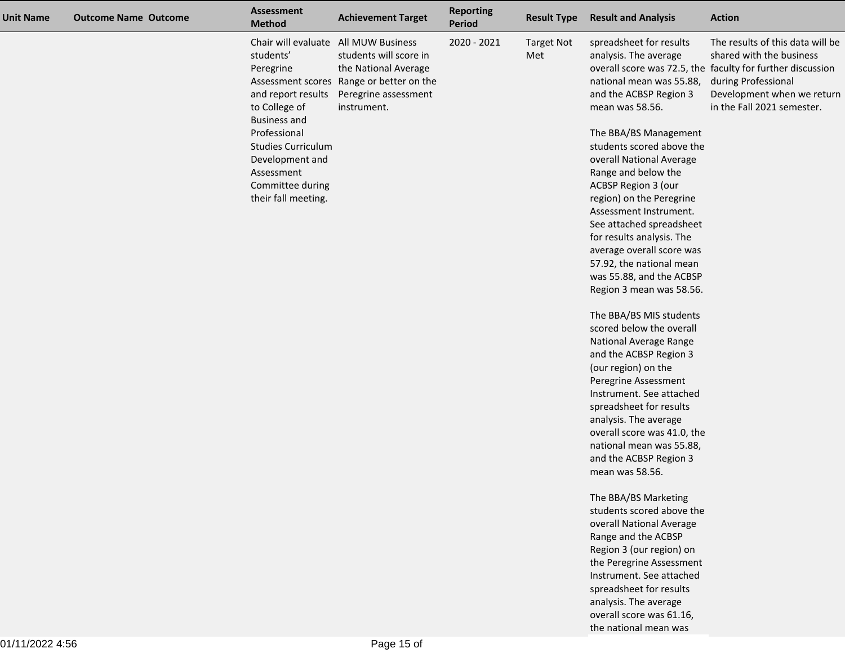| <b>Unit Name</b> | <b>Outcome Name Outcome</b> | <b>Assessment</b><br><b>Method</b>                                                                                                                                                                            | <b>Achievement Target</b>                                                                                                                                                 | <b>Reporting</b><br>Period | <b>Result Type</b>       | <b>Result and Analysis</b>                                                                                                                                                                                                                                                                                                                                                                                                                                                                                                                                                                                                                                                                                                                                                                                                                                                                       | <b>Action</b>                                                                                                                                                                                                 |
|------------------|-----------------------------|---------------------------------------------------------------------------------------------------------------------------------------------------------------------------------------------------------------|---------------------------------------------------------------------------------------------------------------------------------------------------------------------------|----------------------------|--------------------------|--------------------------------------------------------------------------------------------------------------------------------------------------------------------------------------------------------------------------------------------------------------------------------------------------------------------------------------------------------------------------------------------------------------------------------------------------------------------------------------------------------------------------------------------------------------------------------------------------------------------------------------------------------------------------------------------------------------------------------------------------------------------------------------------------------------------------------------------------------------------------------------------------|---------------------------------------------------------------------------------------------------------------------------------------------------------------------------------------------------------------|
|                  |                             | students'<br>Peregrine<br>and report results<br>to College of<br><b>Business and</b><br>Professional<br><b>Studies Curriculum</b><br>Development and<br>Assessment<br>Committee during<br>their fall meeting. | Chair will evaluate All MUW Business<br>students will score in<br>the National Average<br>Assessment scores Range or better on the<br>Peregrine assessment<br>instrument. | 2020 - 2021                | <b>Target Not</b><br>Met | spreadsheet for results<br>analysis. The average<br>national mean was 55.88,<br>and the ACBSP Region 3<br>mean was 58.56.<br>The BBA/BS Management<br>students scored above the<br>overall National Average<br>Range and below the<br>ACBSP Region 3 (our<br>region) on the Peregrine<br>Assessment Instrument.<br>See attached spreadsheet<br>for results analysis. The<br>average overall score was<br>57.92, the national mean<br>was 55.88, and the ACBSP<br>Region 3 mean was 58.56.<br>The BBA/BS MIS students<br>scored below the overall<br>National Average Range<br>and the ACBSP Region 3<br>(our region) on the<br>Peregrine Assessment<br>Instrument. See attached<br>spreadsheet for results<br>analysis. The average<br>overall score was 41.0, the<br>national mean was 55.88,<br>and the ACBSP Region 3<br>mean was 58.56.<br>The BBA/BS Marketing<br>students scored above the | The results of this data will be<br>shared with the business<br>overall score was 72.5, the faculty for further discussion<br>during Professional<br>Development when we return<br>in the Fall 2021 semester. |
|                  |                             |                                                                                                                                                                                                               |                                                                                                                                                                           |                            |                          | overall National Average<br>Range and the ACBSP                                                                                                                                                                                                                                                                                                                                                                                                                                                                                                                                                                                                                                                                                                                                                                                                                                                  |                                                                                                                                                                                                               |
|                  |                             |                                                                                                                                                                                                               |                                                                                                                                                                           |                            |                          | Region 3 (our region) on<br>the Peregrine Assessment                                                                                                                                                                                                                                                                                                                                                                                                                                                                                                                                                                                                                                                                                                                                                                                                                                             |                                                                                                                                                                                                               |
|                  |                             |                                                                                                                                                                                                               |                                                                                                                                                                           |                            |                          | Instrument. See attached                                                                                                                                                                                                                                                                                                                                                                                                                                                                                                                                                                                                                                                                                                                                                                                                                                                                         |                                                                                                                                                                                                               |
|                  |                             |                                                                                                                                                                                                               |                                                                                                                                                                           |                            |                          | spreadsheet for results<br>analysis. The average                                                                                                                                                                                                                                                                                                                                                                                                                                                                                                                                                                                                                                                                                                                                                                                                                                                 |                                                                                                                                                                                                               |
|                  |                             |                                                                                                                                                                                                               |                                                                                                                                                                           |                            |                          | overall score was 61.16,                                                                                                                                                                                                                                                                                                                                                                                                                                                                                                                                                                                                                                                                                                                                                                                                                                                                         |                                                                                                                                                                                                               |

the national mean was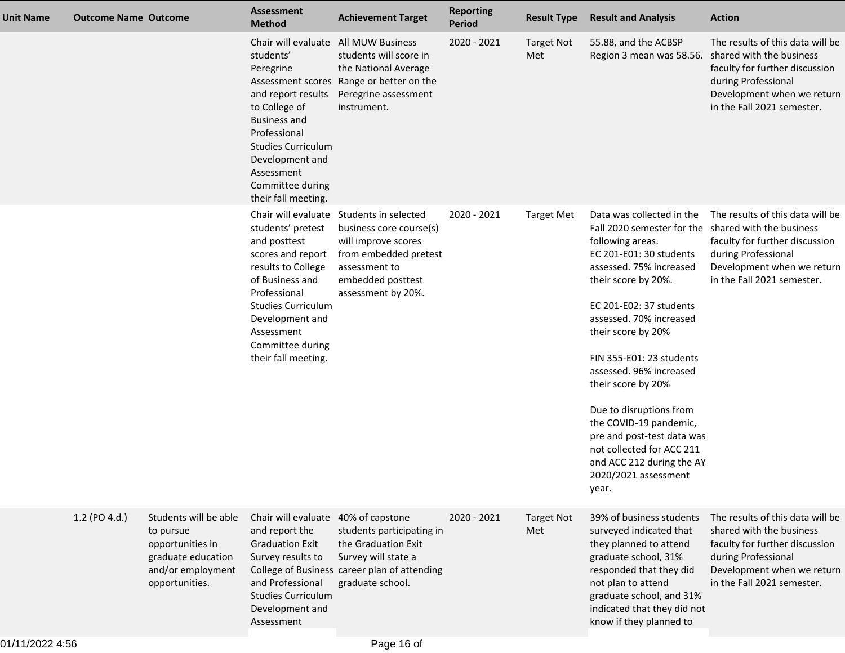| <b>Unit Name</b> | <b>Outcome Name Outcome</b> |                                                                                                                     | <b>Assessment</b><br><b>Method</b>                                                                                                                                                                                                                    | <b>Achievement Target</b>                                                                                                                                                       | <b>Reporting</b><br><b>Period</b> | <b>Result Type</b>       | <b>Result and Analysis</b>                                                                                                                                                                                                                                                                                                                                                                                                                                                                                               | <b>Action</b>                                                                                                                                                                     |
|------------------|-----------------------------|---------------------------------------------------------------------------------------------------------------------|-------------------------------------------------------------------------------------------------------------------------------------------------------------------------------------------------------------------------------------------------------|---------------------------------------------------------------------------------------------------------------------------------------------------------------------------------|-----------------------------------|--------------------------|--------------------------------------------------------------------------------------------------------------------------------------------------------------------------------------------------------------------------------------------------------------------------------------------------------------------------------------------------------------------------------------------------------------------------------------------------------------------------------------------------------------------------|-----------------------------------------------------------------------------------------------------------------------------------------------------------------------------------|
|                  |                             |                                                                                                                     | Chair will evaluate All MUW Business<br>students'<br>Peregrine<br>and report results<br>to College of<br><b>Business and</b><br>Professional<br><b>Studies Curriculum</b><br>Development and<br>Assessment<br>Committee during<br>their fall meeting. | students will score in<br>the National Average<br>Assessment scores Range or better on the<br>Peregrine assessment<br>instrument.                                               | 2020 - 2021                       | <b>Target Not</b><br>Met | 55.88, and the ACBSP<br>Region 3 mean was 58.56. shared with the business                                                                                                                                                                                                                                                                                                                                                                                                                                                | The results of this data will be<br>faculty for further discussion<br>during Professional<br>Development when we return<br>in the Fall 2021 semester.                             |
|                  |                             |                                                                                                                     | students' pretest<br>and posttest<br>scores and report<br>results to College<br>of Business and<br>Professional<br><b>Studies Curriculum</b><br>Development and<br>Assessment<br>Committee during<br>their fall meeting.                              | Chair will evaluate Students in selected<br>business core course(s)<br>will improve scores<br>from embedded pretest<br>assessment to<br>embedded posttest<br>assessment by 20%. | 2020 - 2021                       | <b>Target Met</b>        | Data was collected in the<br>Fall 2020 semester for the shared with the business<br>following areas.<br>EC 201-E01: 30 students<br>assessed. 75% increased<br>their score by 20%.<br>EC 201-E02: 37 students<br>assessed. 70% increased<br>their score by 20%<br>FIN 355-E01: 23 students<br>assessed. 96% increased<br>their score by 20%<br>Due to disruptions from<br>the COVID-19 pandemic,<br>pre and post-test data was<br>not collected for ACC 211<br>and ACC 212 during the AY<br>2020/2021 assessment<br>year. | The results of this data will be<br>faculty for further discussion<br>during Professional<br>Development when we return<br>in the Fall 2021 semester.                             |
|                  | 1.2 (PO 4.d.)               | Students will be able<br>to pursue<br>opportunities in<br>graduate education<br>and/or employment<br>opportunities. | Chair will evaluate 40% of capstone<br>and report the<br><b>Graduation Exit</b><br>Survey results to<br>and Professional<br><b>Studies Curriculum</b><br>Development and<br>Assessment                                                                | students participating in<br>the Graduation Exit<br>Survey will state a<br>College of Business career plan of attending<br>graduate school.                                     | 2020 - 2021                       | <b>Target Not</b><br>Met | 39% of business students<br>surveyed indicated that<br>they planned to attend<br>graduate school, 31%<br>responded that they did<br>not plan to attend<br>graduate school, and 31%<br>indicated that they did not<br>know if they planned to                                                                                                                                                                                                                                                                             | The results of this data will be<br>shared with the business<br>faculty for further discussion<br>during Professional<br>Development when we return<br>in the Fall 2021 semester. |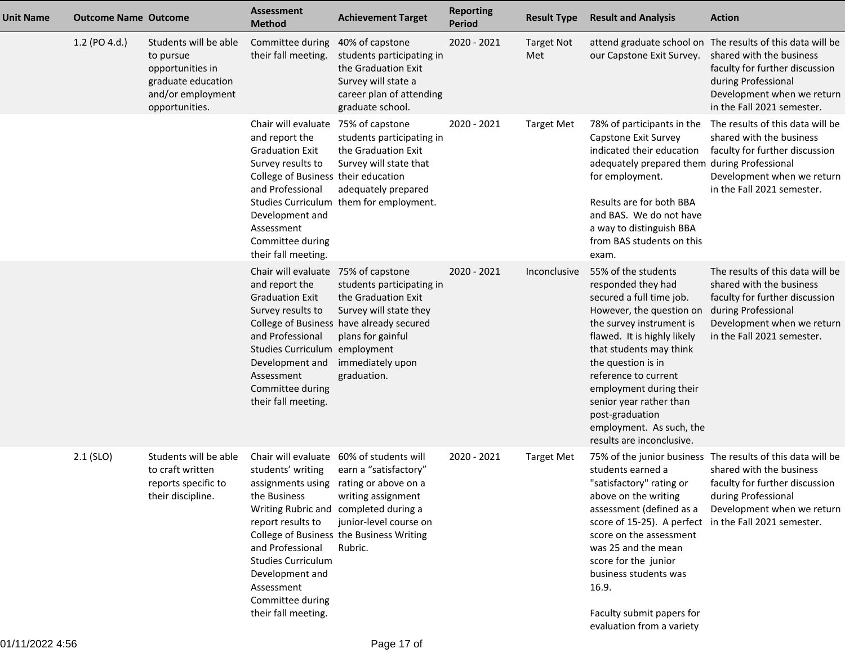| <b>Unit Name</b> | <b>Outcome Name Outcome</b> |                                                                                                                     | <b>Assessment</b><br><b>Method</b>                                                                                                                                                                                                          | <b>Achievement Target</b>                                                                                                                                                                                                                                                     | <b>Reporting</b><br><b>Period</b> | <b>Result Type</b>       | <b>Result and Analysis</b>                                                                                                                                                                                                                                                                                                                                              | <b>Action</b>                                                                                                                                                                                           |
|------------------|-----------------------------|---------------------------------------------------------------------------------------------------------------------|---------------------------------------------------------------------------------------------------------------------------------------------------------------------------------------------------------------------------------------------|-------------------------------------------------------------------------------------------------------------------------------------------------------------------------------------------------------------------------------------------------------------------------------|-----------------------------------|--------------------------|-------------------------------------------------------------------------------------------------------------------------------------------------------------------------------------------------------------------------------------------------------------------------------------------------------------------------------------------------------------------------|---------------------------------------------------------------------------------------------------------------------------------------------------------------------------------------------------------|
|                  | 1.2 (PO 4.d.)               | Students will be able<br>to pursue<br>opportunities in<br>graduate education<br>and/or employment<br>opportunities. | Committee during 40% of capstone<br>their fall meeting.                                                                                                                                                                                     | students participating in<br>the Graduation Exit<br>Survey will state a<br>career plan of attending<br>graduate school.                                                                                                                                                       | 2020 - 2021                       | <b>Target Not</b><br>Met | our Capstone Exit Survey. shared with the business                                                                                                                                                                                                                                                                                                                      | attend graduate school on The results of this data will be<br>faculty for further discussion<br>during Professional<br>Development when we return<br>in the Fall 2021 semester.                         |
|                  |                             |                                                                                                                     | Chair will evaluate 75% of capstone<br>and report the<br><b>Graduation Exit</b><br>Survey results to<br>College of Business their education<br>and Professional<br>Development and<br>Assessment<br>Committee during<br>their fall meeting. | students participating in<br>the Graduation Exit<br>Survey will state that<br>adequately prepared<br>Studies Curriculum them for employment.                                                                                                                                  | 2020 - 2021                       | <b>Target Met</b>        | Capstone Exit Survey<br>indicated their education<br>adequately prepared them during Professional<br>for employment.<br>Results are for both BBA<br>and BAS. We do not have<br>a way to distinguish BBA<br>from BAS students on this<br>exam.                                                                                                                           | 78% of participants in the The results of this data will be<br>shared with the business<br>faculty for further discussion<br>Development when we return<br>in the Fall 2021 semester.                   |
|                  |                             |                                                                                                                     | Chair will evaluate 75% of capstone<br>and report the<br><b>Graduation Exit</b><br>Survey results to<br>and Professional<br>Studies Curriculum employment<br>Development and<br>Assessment<br>Committee during<br>their fall meeting.       | students participating in<br>the Graduation Exit<br>Survey will state they<br>College of Business have already secured<br>plans for gainful<br>immediately upon<br>graduation.                                                                                                | 2020 - 2021                       | Inconclusive             | 55% of the students<br>responded they had<br>secured a full time job.<br>However, the question on<br>the survey instrument is<br>flawed. It is highly likely<br>that students may think<br>the question is in<br>reference to current<br>employment during their<br>senior year rather than<br>post-graduation<br>employment. As such, the<br>results are inconclusive. | The results of this data will be<br>shared with the business<br>faculty for further discussion<br>during Professional<br>Development when we return<br>in the Fall 2021 semester.                       |
|                  | $2.1$ (SLO)                 | Students will be able<br>to craft written<br>reports specific to<br>their discipline.                               | the Business<br>report results to<br>and Professional<br><b>Studies Curriculum</b><br>Development and<br>Assessment<br>Committee during<br>their fall meeting.                                                                              | Chair will evaluate 60% of students will<br>students' writing earn a "satisfactory"<br>assignments using rating or above on a<br>writing assignment<br>Writing Rubric and completed during a<br>junior-level course on<br>College of Business the Business Writing<br>Rubric. | 2020 - 2021                       | Target Met               | students earned a<br>above on the writing<br>assessment (defined as a<br>score of 15-25). A perfect in the Fall 2021 semester.<br>score on the assessment<br>was 25 and the mean<br>score for the junior<br>business students was<br>16.9.<br>Faculty submit papers for<br>evaluation from a variety                                                                    | 75% of the junior business The results of this data will be<br>shared with the business<br>"satisfactory" rating or faculty for further discussion<br>during Professional<br>Development when we return |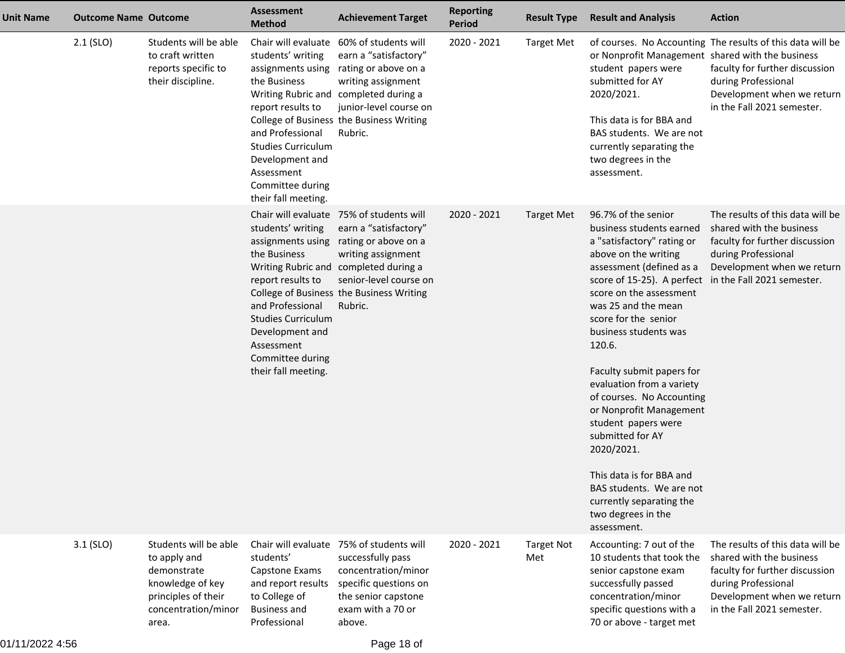| Unit Name | <b>Outcome Name Outcome</b> |                                                                                                                                 | <b>Assessment</b><br><b>Method</b>                                                                                                                                                                                              | <b>Achievement Target</b>                                                                                                                                                                                                                 | <b>Reporting</b><br>Period | <b>Result Type</b>       | <b>Result and Analysis</b>                                                                                                                                                                                                                                                                                                                                                                                                                                                                                                                                                                                  | <b>Action</b>                                                                                                                                                                     |
|-----------|-----------------------------|---------------------------------------------------------------------------------------------------------------------------------|---------------------------------------------------------------------------------------------------------------------------------------------------------------------------------------------------------------------------------|-------------------------------------------------------------------------------------------------------------------------------------------------------------------------------------------------------------------------------------------|----------------------------|--------------------------|-------------------------------------------------------------------------------------------------------------------------------------------------------------------------------------------------------------------------------------------------------------------------------------------------------------------------------------------------------------------------------------------------------------------------------------------------------------------------------------------------------------------------------------------------------------------------------------------------------------|-----------------------------------------------------------------------------------------------------------------------------------------------------------------------------------|
|           | 2.1 (SLO)                   | Students will be able<br>to craft written<br>reports specific to<br>their discipline.                                           | Chair will evaluate<br>students' writing<br>assignments using<br>the Business<br>report results to<br>and Professional<br><b>Studies Curriculum</b><br>Development and<br>Assessment<br>Committee during<br>their fall meeting. | 60% of students will<br>earn a "satisfactory"<br>rating or above on a<br>writing assignment<br>Writing Rubric and completed during a<br>junior-level course on<br>College of Business the Business Writing<br>Rubric.                     | 2020 - 2021                | <b>Target Met</b>        | or Nonprofit Management shared with the business<br>student papers were<br>submitted for AY<br>2020/2021.<br>This data is for BBA and<br>BAS students. We are not<br>currently separating the<br>two degrees in the<br>assessment.                                                                                                                                                                                                                                                                                                                                                                          | of courses. No Accounting The results of this data will be<br>faculty for further discussion<br>during Professional<br>Development when we return<br>in the Fall 2021 semester.   |
|           |                             |                                                                                                                                 | students' writing<br>assignments using<br>the Business<br>report results to<br>and Professional<br><b>Studies Curriculum</b><br>Development and<br>Assessment<br>Committee during<br>their fall meeting.                        | Chair will evaluate 75% of students will<br>earn a "satisfactory"<br>rating or above on a<br>writing assignment<br>Writing Rubric and completed during a<br>senior-level course on<br>College of Business the Business Writing<br>Rubric. | 2020 - 2021                | <b>Target Met</b>        | 96.7% of the senior<br>business students earned<br>a "satisfactory" rating or<br>above on the writing<br>assessment (defined as a<br>score of 15-25). A perfect in the Fall 2021 semester.<br>score on the assessment<br>was 25 and the mean<br>score for the senior<br>business students was<br>120.6.<br>Faculty submit papers for<br>evaluation from a variety<br>of courses. No Accounting<br>or Nonprofit Management<br>student papers were<br>submitted for AY<br>2020/2021.<br>This data is for BBA and<br>BAS students. We are not<br>currently separating the<br>two degrees in the<br>assessment. | The results of this data will be<br>shared with the business<br>faculty for further discussion<br>during Professional<br>Development when we return                               |
|           | $3.1$ (SLO)                 | Students will be able<br>to apply and<br>demonstrate<br>knowledge of key<br>principles of their<br>concentration/minor<br>area. | students'<br>Capstone Exams<br>and report results<br>to College of<br><b>Business and</b><br>Professional                                                                                                                       | Chair will evaluate 75% of students will<br>successfully pass<br>concentration/minor<br>specific questions on<br>the senior capstone<br>exam with a 70 or<br>above.                                                                       | 2020 - 2021                | <b>Target Not</b><br>Met | Accounting: 7 out of the<br>10 students that took the<br>senior capstone exam<br>successfully passed<br>concentration/minor<br>specific questions with a<br>70 or above - target met                                                                                                                                                                                                                                                                                                                                                                                                                        | The results of this data will be<br>shared with the business<br>faculty for further discussion<br>during Professional<br>Development when we return<br>in the Fall 2021 semester. |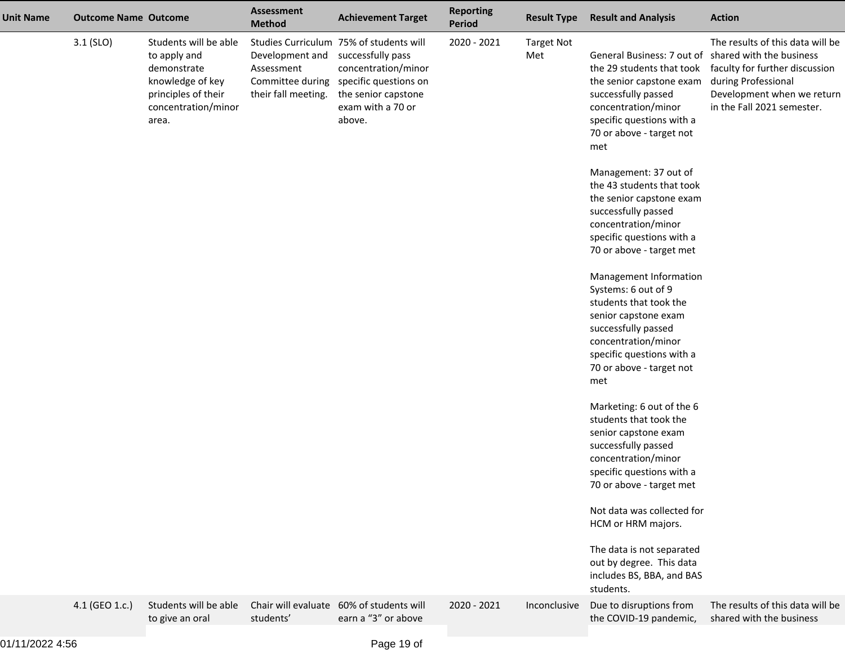| <b>Unit Name</b> | <b>Outcome Name Outcome</b> |                                                                                                                                 | <b>Assessment</b><br><b>Method</b>                                       | <b>Achievement Target</b>                                                                                                                                          | <b>Reporting</b><br>Period | <b>Result Type</b>       | <b>Result and Analysis</b>                                                                                                                                                                                                 | <b>Action</b>                                                                                                                                         |
|------------------|-----------------------------|---------------------------------------------------------------------------------------------------------------------------------|--------------------------------------------------------------------------|--------------------------------------------------------------------------------------------------------------------------------------------------------------------|----------------------------|--------------------------|----------------------------------------------------------------------------------------------------------------------------------------------------------------------------------------------------------------------------|-------------------------------------------------------------------------------------------------------------------------------------------------------|
|                  | $3.1$ (SLO)                 | Students will be able<br>to apply and<br>demonstrate<br>knowledge of key<br>principles of their<br>concentration/minor<br>area. | Development and<br>Assessment<br>Committee during<br>their fall meeting. | Studies Curriculum 75% of students will<br>successfully pass<br>concentration/minor<br>specific questions on<br>the senior capstone<br>exam with a 70 or<br>above. | 2020 - 2021                | <b>Target Not</b><br>Met | General Business: 7 out of shared with the business<br>the 29 students that took<br>the senior capstone exam<br>successfully passed<br>concentration/minor<br>specific questions with a<br>70 or above - target not<br>met | The results of this data will be<br>faculty for further discussion<br>during Professional<br>Development when we return<br>in the Fall 2021 semester. |
|                  |                             |                                                                                                                                 |                                                                          |                                                                                                                                                                    |                            |                          | Management: 37 out of<br>the 43 students that took<br>the senior capstone exam<br>successfully passed<br>concentration/minor<br>specific questions with a<br>70 or above - target met                                      |                                                                                                                                                       |
|                  |                             |                                                                                                                                 |                                                                          |                                                                                                                                                                    |                            |                          | Management Information<br>Systems: 6 out of 9<br>students that took the<br>senior capstone exam<br>successfully passed<br>concentration/minor<br>specific questions with a<br>70 or above - target not<br>met              |                                                                                                                                                       |
|                  |                             |                                                                                                                                 |                                                                          |                                                                                                                                                                    |                            |                          | Marketing: 6 out of the 6<br>students that took the<br>senior capstone exam<br>successfully passed<br>concentration/minor<br>specific questions with a<br>70 or above - target met                                         |                                                                                                                                                       |
|                  |                             |                                                                                                                                 |                                                                          |                                                                                                                                                                    |                            |                          | Not data was collected for<br>HCM or HRM majors.<br>The data is not separated<br>out by degree. This data<br>includes BS, BBA, and BAS<br>students.                                                                        |                                                                                                                                                       |
|                  | 4.1 (GEO 1.c.)              | Students will be able<br>to give an oral                                                                                        | Chair will evaluate<br>students'                                         | 60% of students will<br>earn a "3" or above                                                                                                                        | 2020 - 2021                | Inconclusive             | Due to disruptions from<br>the COVID-19 pandemic,                                                                                                                                                                          | The results of this data will be<br>shared with the business                                                                                          |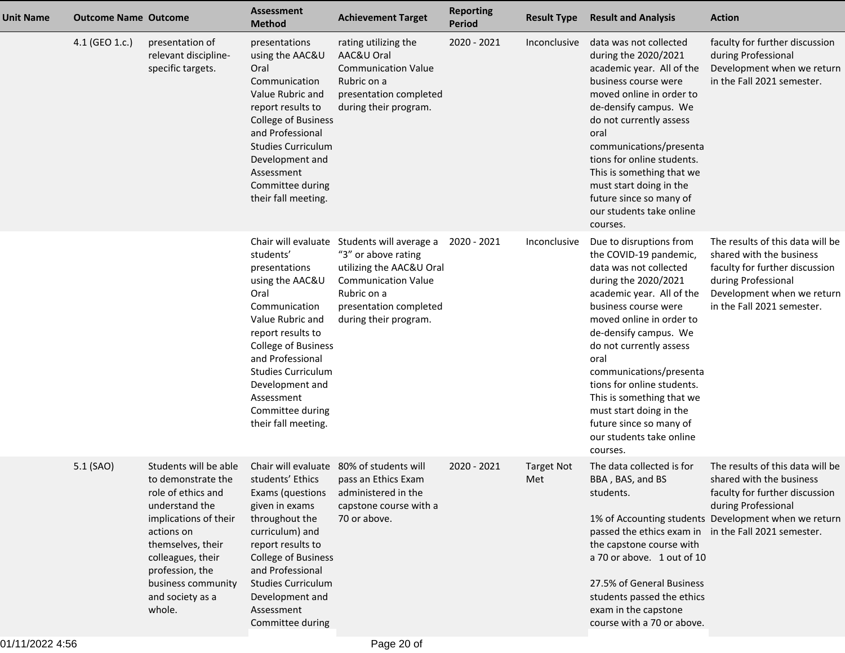| <b>Unit Name</b> | <b>Outcome Name Outcome</b> |                                                                                                                                                                                                                                             | <b>Assessment</b><br><b>Method</b>                                                                                                                                                                                                                                  | <b>Achievement Target</b>                                                                                                                                                                      | <b>Reporting</b><br><b>Period</b> | <b>Result Type</b>       | <b>Result and Analysis</b>                                                                                                                                                                                                                                                                                                                                                                                                           | <b>Action</b>                                                                                                                                                                     |
|------------------|-----------------------------|---------------------------------------------------------------------------------------------------------------------------------------------------------------------------------------------------------------------------------------------|---------------------------------------------------------------------------------------------------------------------------------------------------------------------------------------------------------------------------------------------------------------------|------------------------------------------------------------------------------------------------------------------------------------------------------------------------------------------------|-----------------------------------|--------------------------|--------------------------------------------------------------------------------------------------------------------------------------------------------------------------------------------------------------------------------------------------------------------------------------------------------------------------------------------------------------------------------------------------------------------------------------|-----------------------------------------------------------------------------------------------------------------------------------------------------------------------------------|
|                  | 4.1 (GEO 1.c.)              | presentation of<br>relevant discipline-<br>specific targets.                                                                                                                                                                                | presentations<br>using the AAC&U<br>Oral<br>Communication<br>Value Rubric and<br>report results to<br>College of Business<br>and Professional<br><b>Studies Curriculum</b><br>Development and<br>Assessment<br>Committee during<br>their fall meeting.              | rating utilizing the<br>AAC&U Oral<br><b>Communication Value</b><br>Rubric on a<br>presentation completed<br>during their program.                                                             | 2020 - 2021                       | Inconclusive             | data was not collected<br>during the 2020/2021<br>academic year. All of the<br>business course were<br>moved online in order to<br>de-densify campus. We<br>do not currently assess<br>oral<br>communications/presenta<br>tions for online students.<br>This is something that we<br>must start doing in the<br>future since so many of<br>our students take online<br>courses.                                                      | faculty for further discussion<br>during Professional<br>Development when we return<br>in the Fall 2021 semester.                                                                 |
|                  |                             |                                                                                                                                                                                                                                             | students'<br>presentations<br>using the AAC&U<br>Oral<br>Communication<br>Value Rubric and<br>report results to<br>College of Business<br>and Professional<br><b>Studies Curriculum</b><br>Development and<br>Assessment<br>Committee during<br>their fall meeting. | Chair will evaluate Students will average a<br>"3" or above rating<br>utilizing the AAC&U Oral<br><b>Communication Value</b><br>Rubric on a<br>presentation completed<br>during their program. | 2020 - 2021                       | Inconclusive             | Due to disruptions from<br>the COVID-19 pandemic,<br>data was not collected<br>during the 2020/2021<br>academic year. All of the<br>business course were<br>moved online in order to<br>de-densify campus. We<br>do not currently assess<br>oral<br>communications/presenta<br>tions for online students.<br>This is something that we<br>must start doing in the<br>future since so many of<br>our students take online<br>courses. | The results of this data will be<br>shared with the business<br>faculty for further discussion<br>during Professional<br>Development when we return<br>in the Fall 2021 semester. |
|                  | 5.1 (SAO)                   | Students will be able<br>to demonstrate the<br>role of ethics and<br>understand the<br>implications of their<br>actions on<br>themselves, their<br>colleagues, their<br>profession, the<br>business community<br>and society as a<br>whole. | students' Ethics<br>Exams (questions<br>given in exams<br>throughout the<br>curriculum) and<br>report results to<br>College of Business<br>and Professional<br><b>Studies Curriculum</b><br>Development and<br>Assessment<br>Committee during                       | Chair will evaluate 80% of students will<br>pass an Ethics Exam<br>administered in the<br>capstone course with a<br>70 or above.                                                               | 2020 - 2021                       | <b>Target Not</b><br>Met | The data collected is for<br>BBA, BAS, and BS<br>students.<br>passed the ethics exam in in the Fall 2021 semester.<br>the capstone course with<br>a 70 or above. 1 out of 10<br>27.5% of General Business<br>students passed the ethics<br>exam in the capstone<br>course with a 70 or above.                                                                                                                                        | The results of this data will be<br>shared with the business<br>faculty for further discussion<br>during Professional<br>1% of Accounting students Development when we return     |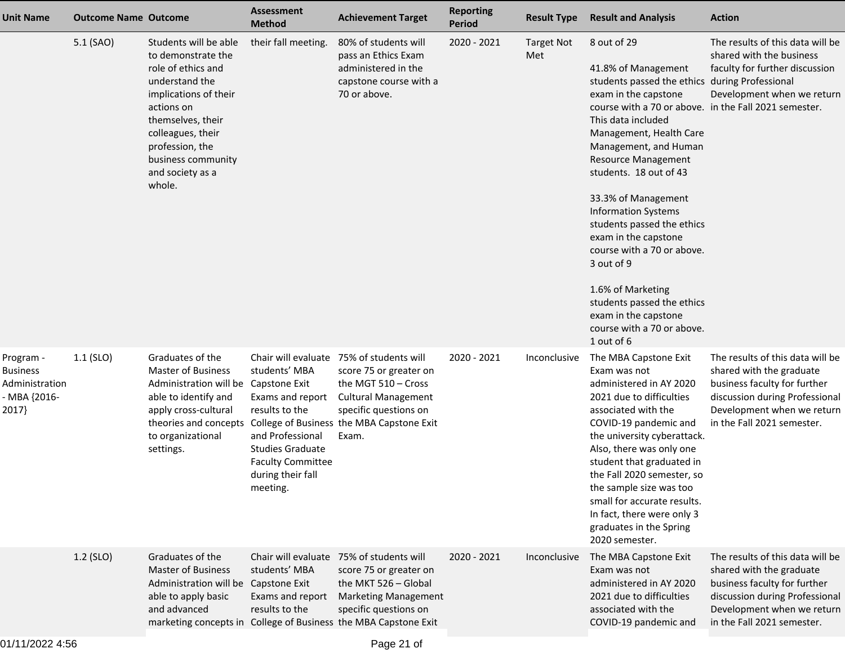| <b>Unit Name</b>                                                       | <b>Outcome Name Outcome</b> |                                                                                                                                                                                                                                             | <b>Assessment</b><br><b>Method</b>                                                                                                                              | <b>Achievement Target</b>                                                                                                                                                                                             | <b>Reporting</b><br>Period | <b>Result Type</b>       | <b>Result and Analysis</b>                                                                                                                                                                                                                                                                                                                                                                                                                                                                                                                                                            | <b>Action</b>                                                                                                                                                                              |
|------------------------------------------------------------------------|-----------------------------|---------------------------------------------------------------------------------------------------------------------------------------------------------------------------------------------------------------------------------------------|-----------------------------------------------------------------------------------------------------------------------------------------------------------------|-----------------------------------------------------------------------------------------------------------------------------------------------------------------------------------------------------------------------|----------------------------|--------------------------|---------------------------------------------------------------------------------------------------------------------------------------------------------------------------------------------------------------------------------------------------------------------------------------------------------------------------------------------------------------------------------------------------------------------------------------------------------------------------------------------------------------------------------------------------------------------------------------|--------------------------------------------------------------------------------------------------------------------------------------------------------------------------------------------|
|                                                                        | 5.1 (SAO)                   | Students will be able<br>to demonstrate the<br>role of ethics and<br>understand the<br>implications of their<br>actions on<br>themselves, their<br>colleagues, their<br>profession, the<br>business community<br>and society as a<br>whole. | their fall meeting.                                                                                                                                             | 80% of students will<br>pass an Ethics Exam<br>administered in the<br>capstone course with a<br>70 or above.                                                                                                          | 2020 - 2021                | <b>Target Not</b><br>Met | 8 out of 29<br>41.8% of Management<br>students passed the ethics during Professional<br>exam in the capstone<br>course with a 70 or above. in the Fall 2021 semester.<br>This data included<br>Management, Health Care<br>Management, and Human<br><b>Resource Management</b><br>students. 18 out of 43<br>33.3% of Management<br><b>Information Systems</b><br>students passed the ethics<br>exam in the capstone<br>course with a 70 or above.<br>3 out of 9<br>1.6% of Marketing<br>students passed the ethics<br>exam in the capstone<br>course with a 70 or above.<br>1 out of 6 | The results of this data will be<br>shared with the business<br>faculty for further discussion<br>Development when we return                                                               |
| Program -<br><b>Business</b><br>Administration<br>- MBA {2016-<br>2017 | $1.1$ (SLO)                 | Graduates of the<br><b>Master of Business</b><br>Administration will be Capstone Exit<br>able to identify and<br>apply cross-cultural<br>theories and concepts<br>to organizational<br>settings.                                            | students' MBA<br>Exams and report<br>results to the<br>and Professional<br><b>Studies Graduate</b><br><b>Faculty Committee</b><br>during their fall<br>meeting. | Chair will evaluate 75% of students will<br>score 75 or greater on<br>the MGT 510 - Cross<br><b>Cultural Management</b><br>specific questions on<br>College of Business the MBA Capstone Exit<br>Exam.                | 2020 - 2021                | Inconclusive             | The MBA Capstone Exit<br>Exam was not<br>administered in AY 2020<br>2021 due to difficulties<br>associated with the<br>COVID-19 pandemic and<br>the university cyberattack.<br>Also, there was only one<br>student that graduated in<br>the Fall 2020 semester, so<br>the sample size was too<br>small for accurate results.<br>In fact, there were only 3<br>graduates in the Spring<br>2020 semester.                                                                                                                                                                               | The results of this data will be<br>shared with the graduate<br>business faculty for further<br>discussion during Professional<br>Development when we return<br>in the Fall 2021 semester. |
|                                                                        | 1.2 (SLO)                   | Graduates of the<br><b>Master of Business</b><br>Administration will be Capstone Exit<br>able to apply basic<br>and advanced                                                                                                                | students' MBA<br>Exams and report<br>results to the                                                                                                             | Chair will evaluate 75% of students will<br>score 75 or greater on<br>the MKT 526 - Global<br><b>Marketing Management</b><br>specific questions on<br>marketing concepts in College of Business the MBA Capstone Exit | 2020 - 2021                | Inconclusive             | The MBA Capstone Exit<br>Exam was not<br>administered in AY 2020<br>2021 due to difficulties<br>associated with the<br>COVID-19 pandemic and                                                                                                                                                                                                                                                                                                                                                                                                                                          | The results of this data will be<br>shared with the graduate<br>business faculty for further<br>discussion during Professional<br>Development when we return<br>in the Fall 2021 semester. |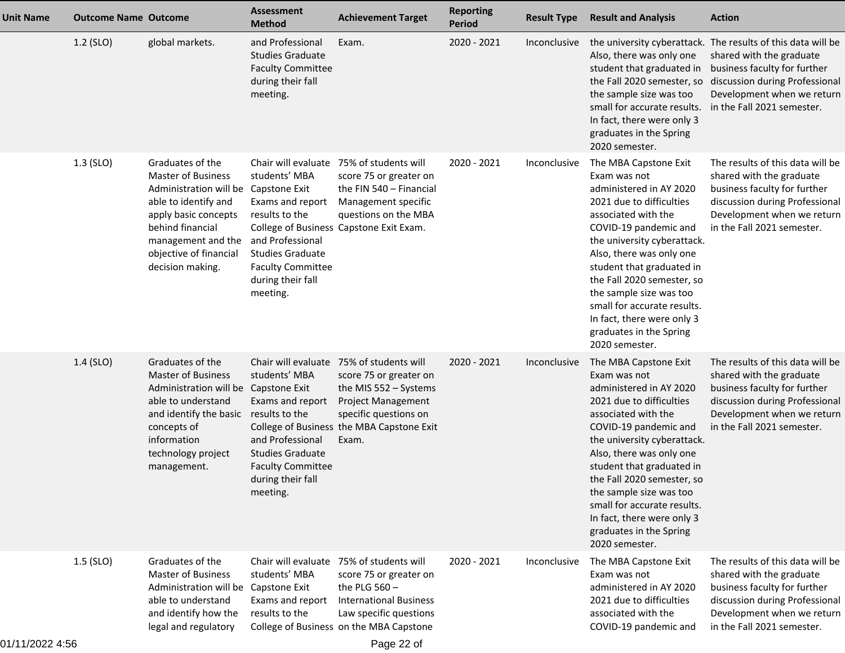| <b>Unit Name</b> | <b>Outcome Name Outcome</b> |                                                                                                                                                                                                                               | <b>Assessment</b><br><b>Method</b>                                                                                                                                                     | <b>Achievement Target</b>                                                                                                                                                                        | <b>Reporting</b><br>Period | <b>Result Type</b> | <b>Result and Analysis</b>                                                                                                                                                                                                                                                                                                                                                                              | <b>Action</b>                                                                                                                                                                                                          |
|------------------|-----------------------------|-------------------------------------------------------------------------------------------------------------------------------------------------------------------------------------------------------------------------------|----------------------------------------------------------------------------------------------------------------------------------------------------------------------------------------|--------------------------------------------------------------------------------------------------------------------------------------------------------------------------------------------------|----------------------------|--------------------|---------------------------------------------------------------------------------------------------------------------------------------------------------------------------------------------------------------------------------------------------------------------------------------------------------------------------------------------------------------------------------------------------------|------------------------------------------------------------------------------------------------------------------------------------------------------------------------------------------------------------------------|
|                  | 1.2 (SLO)                   | global markets.                                                                                                                                                                                                               | and Professional<br><b>Studies Graduate</b><br><b>Faculty Committee</b><br>during their fall<br>meeting.                                                                               | Exam.                                                                                                                                                                                            | 2020 - 2021                | Inconclusive       | Also, there was only one<br>student that graduated in<br>the Fall 2020 semester, so<br>the sample size was too<br>small for accurate results.<br>In fact, there were only 3<br>graduates in the Spring<br>2020 semester.                                                                                                                                                                                | the university cyberattack. The results of this data will be<br>shared with the graduate<br>business faculty for further<br>discussion during Professional<br>Development when we return<br>in the Fall 2021 semester. |
|                  | 1.3 (SLO)                   | Graduates of the<br><b>Master of Business</b><br>Administration will be Capstone Exit<br>able to identify and<br>apply basic concepts<br>behind financial<br>management and the<br>objective of financial<br>decision making. | Chair will evaluate<br>students' MBA<br>Exams and report<br>results to the<br>and Professional<br><b>Studies Graduate</b><br><b>Faculty Committee</b><br>during their fall<br>meeting. | 75% of students will<br>score 75 or greater on<br>the FIN 540 - Financial<br>Management specific<br>questions on the MBA<br>College of Business Capstone Exit Exam.                              | 2020 - 2021                | Inconclusive       | The MBA Capstone Exit<br>Exam was not<br>administered in AY 2020<br>2021 due to difficulties<br>associated with the<br>COVID-19 pandemic and<br>the university cyberattack.<br>Also, there was only one<br>student that graduated in<br>the Fall 2020 semester, so<br>the sample size was too<br>small for accurate results.<br>In fact, there were only 3<br>graduates in the Spring<br>2020 semester. | The results of this data will be<br>shared with the graduate<br>business faculty for further<br>discussion during Professional<br>Development when we return<br>in the Fall 2021 semester.                             |
|                  | 1.4 (SLO)                   | Graduates of the<br><b>Master of Business</b><br>Administration will be Capstone Exit<br>able to understand<br>and identify the basic<br>concepts of<br>information<br>technology project<br>management.                      | students' MBA<br>Exams and report<br>results to the<br>and Professional<br><b>Studies Graduate</b><br><b>Faculty Committee</b><br>during their fall<br>meeting.                        | Chair will evaluate 75% of students will<br>score 75 or greater on<br>the MIS 552 - Systems<br>Project Management<br>specific questions on<br>College of Business the MBA Capstone Exit<br>Exam. | 2020 - 2021                | Inconclusive       | The MBA Capstone Exit<br>Exam was not<br>administered in AY 2020<br>2021 due to difficulties<br>associated with the<br>COVID-19 pandemic and<br>the university cyberattack.<br>Also, there was only one<br>student that graduated in<br>the Fall 2020 semester, so<br>the sample size was too<br>small for accurate results.<br>In fact, there were only 3<br>graduates in the Spring<br>2020 semester. | The results of this data will be<br>shared with the graduate<br>business faculty for further<br>discussion during Professional<br>Development when we return<br>in the Fall 2021 semester.                             |
|                  | $1.5$ (SLO)                 | Graduates of the<br><b>Master of Business</b><br>Administration will be Capstone Exit<br>able to understand<br>and identify how the<br>legal and regulatory                                                                   | Chair will evaluate<br>students' MBA<br>Exams and report<br>results to the                                                                                                             | 75% of students will<br>score 75 or greater on<br>the PLG $560 -$<br><b>International Business</b><br>Law specific questions<br>College of Business on the MBA Capstone                          | 2020 - 2021                | Inconclusive       | The MBA Capstone Exit<br>Exam was not<br>administered in AY 2020<br>2021 due to difficulties<br>associated with the<br>COVID-19 pandemic and                                                                                                                                                                                                                                                            | The results of this data will be<br>shared with the graduate<br>business faculty for further<br>discussion during Professional<br>Development when we return<br>in the Fall 2021 semester.                             |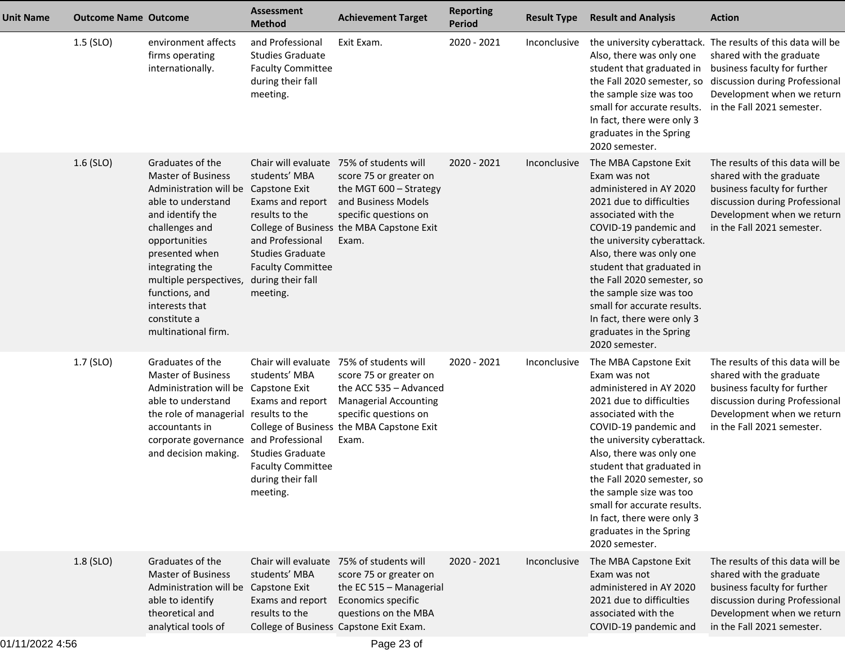| <b>Unit Name</b> | <b>Outcome Name Outcome</b> |                                                                                                                                                                                                                                                                                                | <b>Assessment</b><br><b>Method</b>                                                                                                                                               | <b>Achievement Target</b>                                                                                                                                                                                   | <b>Reporting</b><br>Period | <b>Result Type</b> | <b>Result and Analysis</b>                                                                                                                                                                                                                                                                                                                                                                              | <b>Action</b>                                                                                                                                                                                                          |
|------------------|-----------------------------|------------------------------------------------------------------------------------------------------------------------------------------------------------------------------------------------------------------------------------------------------------------------------------------------|----------------------------------------------------------------------------------------------------------------------------------------------------------------------------------|-------------------------------------------------------------------------------------------------------------------------------------------------------------------------------------------------------------|----------------------------|--------------------|---------------------------------------------------------------------------------------------------------------------------------------------------------------------------------------------------------------------------------------------------------------------------------------------------------------------------------------------------------------------------------------------------------|------------------------------------------------------------------------------------------------------------------------------------------------------------------------------------------------------------------------|
|                  | $1.5$ (SLO)                 | environment affects<br>firms operating<br>internationally.                                                                                                                                                                                                                                     | and Professional<br><b>Studies Graduate</b><br><b>Faculty Committee</b><br>during their fall<br>meeting.                                                                         | Exit Exam.                                                                                                                                                                                                  | 2020 - 2021                | Inconclusive       | Also, there was only one<br>student that graduated in<br>the Fall 2020 semester, so<br>the sample size was too<br>small for accurate results.<br>In fact, there were only 3<br>graduates in the Spring<br>2020 semester.                                                                                                                                                                                | the university cyberattack. The results of this data will be<br>shared with the graduate<br>business faculty for further<br>discussion during Professional<br>Development when we return<br>in the Fall 2021 semester. |
|                  | $1.6$ (SLO)                 | Graduates of the<br><b>Master of Business</b><br>Administration will be<br>able to understand<br>and identify the<br>challenges and<br>opportunities<br>presented when<br>integrating the<br>multiple perspectives,<br>functions, and<br>interests that<br>constitute a<br>multinational firm. | students' MBA<br>Capstone Exit<br>Exams and report<br>results to the<br>and Professional<br><b>Studies Graduate</b><br><b>Faculty Committee</b><br>during their fall<br>meeting. | Chair will evaluate 75% of students will<br>score 75 or greater on<br>the MGT 600 - Strategy<br>and Business Models<br>specific questions on<br>College of Business the MBA Capstone Exit<br>Exam.          | 2020 - 2021                | Inconclusive       | The MBA Capstone Exit<br>Exam was not<br>administered in AY 2020<br>2021 due to difficulties<br>associated with the<br>COVID-19 pandemic and<br>the university cyberattack.<br>Also, there was only one<br>student that graduated in<br>the Fall 2020 semester, so<br>the sample size was too<br>small for accurate results.<br>In fact, there were only 3<br>graduates in the Spring<br>2020 semester. | The results of this data will be<br>shared with the graduate<br>business faculty for further<br>discussion during Professional<br>Development when we return<br>in the Fall 2021 semester.                             |
|                  | 1.7 (SLO)                   | Graduates of the<br><b>Master of Business</b><br>Administration will be Capstone Exit<br>able to understand<br>the role of managerial results to the<br>accountants in<br>corporate governance and Professional<br>and decision making.                                                        | students' MBA<br>Exams and report<br><b>Studies Graduate</b><br><b>Faculty Committee</b><br>during their fall<br>meeting.                                                        | Chair will evaluate 75% of students will<br>score 75 or greater on<br>the ACC 535 - Advanced<br><b>Managerial Accounting</b><br>specific questions on<br>College of Business the MBA Capstone Exit<br>Exam. | 2020 - 2021                | Inconclusive       | The MBA Capstone Exit<br>Exam was not<br>administered in AY 2020<br>2021 due to difficulties<br>associated with the<br>COVID-19 pandemic and<br>the university cyberattack.<br>Also, there was only one<br>student that graduated in<br>the Fall 2020 semester, so<br>the sample size was too<br>small for accurate results.<br>In fact, there were only 3<br>graduates in the Spring<br>2020 semester. | The results of this data will be<br>shared with the graduate<br>business faculty for further<br>discussion during Professional<br>Development when we return<br>in the Fall 2021 semester.                             |
|                  | 1.8 (SLO)                   | Graduates of the<br><b>Master of Business</b><br>Administration will be Capstone Exit<br>able to identify<br>theoretical and<br>analytical tools of                                                                                                                                            | students' MBA<br>Exams and report<br>results to the                                                                                                                              | Chair will evaluate 75% of students will<br>score 75 or greater on<br>the EC 515 - Managerial<br>Economics specific<br>questions on the MBA<br>College of Business Capstone Exit Exam.                      | 2020 - 2021                | Inconclusive       | The MBA Capstone Exit<br>Exam was not<br>administered in AY 2020<br>2021 due to difficulties<br>associated with the<br>COVID-19 pandemic and                                                                                                                                                                                                                                                            | The results of this data will be<br>shared with the graduate<br>business faculty for further<br>discussion during Professional<br>Development when we return<br>in the Fall 2021 semester.                             |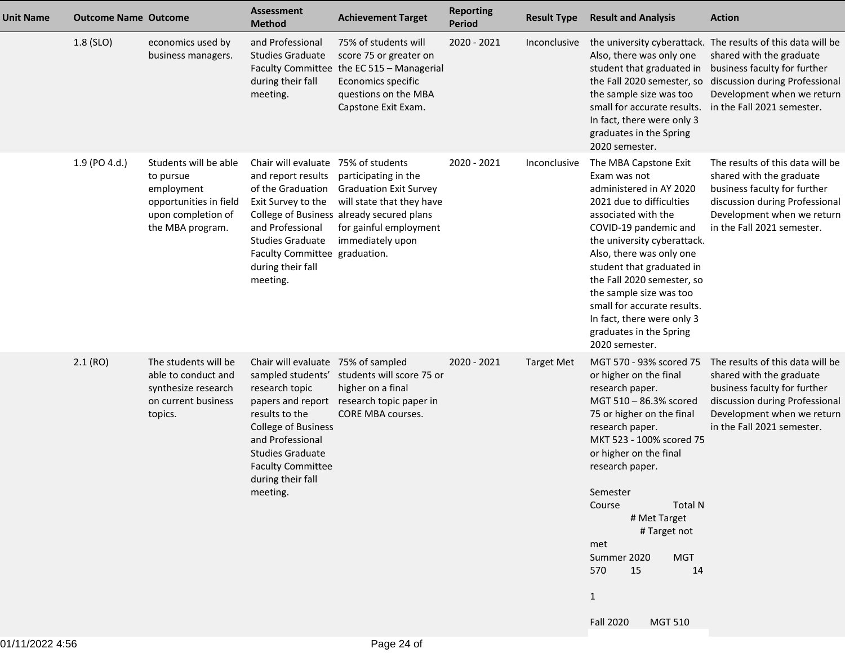| <b>Unit Name</b> | <b>Outcome Name Outcome</b> |                                                                                                                      | Assessment<br><b>Method</b>                                                                                                                                                                                                           | <b>Achievement Target</b>                                                                                                                                                                        | <b>Reporting</b><br><b>Period</b> | <b>Result Type</b> | <b>Result and Analysis</b>                                                                                                                                                                                                                                                                                                                                                                                          | <b>Action</b>                                                                                                                                                                                                          |
|------------------|-----------------------------|----------------------------------------------------------------------------------------------------------------------|---------------------------------------------------------------------------------------------------------------------------------------------------------------------------------------------------------------------------------------|--------------------------------------------------------------------------------------------------------------------------------------------------------------------------------------------------|-----------------------------------|--------------------|---------------------------------------------------------------------------------------------------------------------------------------------------------------------------------------------------------------------------------------------------------------------------------------------------------------------------------------------------------------------------------------------------------------------|------------------------------------------------------------------------------------------------------------------------------------------------------------------------------------------------------------------------|
|                  | 1.8 (SLO)                   | economics used by<br>business managers.                                                                              | and Professional<br><b>Studies Graduate</b><br>during their fall<br>meeting.                                                                                                                                                          | 75% of students will<br>score 75 or greater on<br>Faculty Committee the EC 515 - Managerial<br>Economics specific<br>questions on the MBA<br>Capstone Exit Exam.                                 | 2020 - 2021                       | Inconclusive       | Also, there was only one<br>student that graduated in<br>the Fall 2020 semester, so<br>the sample size was too<br>small for accurate results.<br>In fact, there were only 3<br>graduates in the Spring<br>2020 semester.                                                                                                                                                                                            | the university cyberattack. The results of this data will be<br>shared with the graduate<br>business faculty for further<br>discussion during Professional<br>Development when we return<br>in the Fall 2021 semester. |
|                  | 1.9 (PO 4.d.)               | Students will be able<br>to pursue<br>employment<br>opportunities in field<br>upon completion of<br>the MBA program. | Chair will evaluate<br>and report results<br>of the Graduation<br>Exit Survey to the<br>and Professional<br><b>Studies Graduate</b><br>Faculty Committee graduation.<br>during their fall<br>meeting.                                 | 75% of students<br>participating in the<br><b>Graduation Exit Survey</b><br>will state that they have<br>College of Business already secured plans<br>for gainful employment<br>immediately upon | 2020 - 2021                       | Inconclusive       | The MBA Capstone Exit<br>Exam was not<br>administered in AY 2020<br>2021 due to difficulties<br>associated with the<br>COVID-19 pandemic and<br>the university cyberattack.<br>Also, there was only one<br>student that graduated in<br>the Fall 2020 semester, so<br>the sample size was too<br>small for accurate results.<br>In fact, there were only 3<br>graduates in the Spring<br>2020 semester.             | The results of this data will be<br>shared with the graduate<br>business faculty for further<br>discussion during Professional<br>Development when we return<br>in the Fall 2021 semester.                             |
|                  | 2.1(RO)                     | The students will be<br>able to conduct and<br>synthesize research<br>on current business<br>topics.                 | Chair will evaluate 75% of sampled<br>research topic<br>papers and report<br>results to the<br><b>College of Business</b><br>and Professional<br><b>Studies Graduate</b><br><b>Faculty Committee</b><br>during their fall<br>meeting. | sampled students' students will score 75 or<br>higher on a final<br>research topic paper in<br>CORE MBA courses.                                                                                 | 2020 - 2021                       | <b>Target Met</b>  | MGT 570 - 93% scored 75<br>or higher on the final<br>research paper.<br>MGT 510 - 86.3% scored<br>75 or higher on the final<br>research paper.<br>MKT 523 - 100% scored 75<br>or higher on the final<br>research paper.<br>Semester<br><b>Course Course</b><br>Total N<br># Met Target<br># Target not<br>met<br><b>MGT</b><br>Summer 2020<br>15<br>570<br>14<br>$\mathbf{1}$<br><b>Fall 2020</b><br><b>MGT 510</b> | The results of this data will be<br>shared with the graduate<br>business faculty for further<br>discussion during Professional<br>Development when we return<br>in the Fall 2021 semester.                             |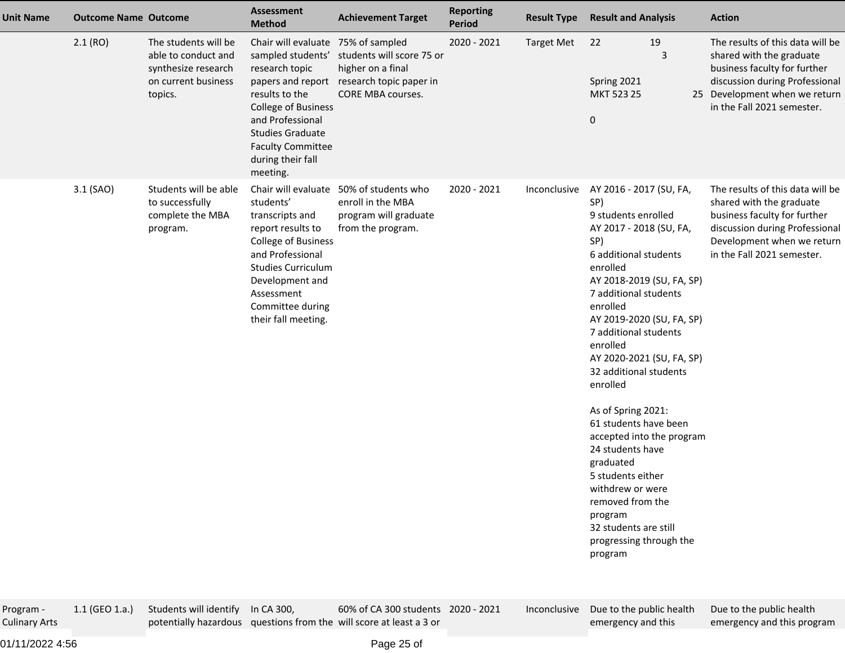| <b>Unit Name</b> | <b>Outcome Name Outcome</b> |                                                                                                      | Assessment<br><b>Method</b>                                                                                                                                                                                                           | <b>Achievement Target</b>                                                                                        | <b>Reporting</b><br><b>Period</b> | <b>Result Type</b> | <b>Result and Analysis</b>                                                                                                                                                                                                                                                                                                                                                                                                                                                                                                                                                              | <b>Action</b>                                                                                                                                                                                 |
|------------------|-----------------------------|------------------------------------------------------------------------------------------------------|---------------------------------------------------------------------------------------------------------------------------------------------------------------------------------------------------------------------------------------|------------------------------------------------------------------------------------------------------------------|-----------------------------------|--------------------|-----------------------------------------------------------------------------------------------------------------------------------------------------------------------------------------------------------------------------------------------------------------------------------------------------------------------------------------------------------------------------------------------------------------------------------------------------------------------------------------------------------------------------------------------------------------------------------------|-----------------------------------------------------------------------------------------------------------------------------------------------------------------------------------------------|
| 2.1(RO)          |                             | The students will be<br>able to conduct and<br>synthesize research<br>on current business<br>topics. | Chair will evaluate 75% of sampled<br>sampled students'<br>research topic<br>results to the<br><b>College of Business</b><br>and Professional<br><b>Studies Graduate</b><br><b>Faculty Committee</b><br>during their fall<br>meeting. | students will score 75 or<br>higher on a final<br>papers and report research topic paper in<br>CORE MBA courses. | 2020 - 2021                       | <b>Target Met</b>  | 19<br>22<br>3<br>Spring 2021<br>MKT 523 25<br>$\boldsymbol{0}$                                                                                                                                                                                                                                                                                                                                                                                                                                                                                                                          | The results of this data will be<br>shared with the graduate<br>business faculty for further<br>discussion during Professional<br>25 Development when we return<br>in the Fall 2021 semester. |
| 3.1 (SAO)        |                             | Students will be able<br>to successfully<br>complete the MBA<br>program.                             | Chair will evaluate<br>students'<br>transcripts and<br>report results to<br>College of Business<br>and Professional<br><b>Studies Curriculum</b><br>Development and<br>Assessment<br>Committee during<br>their fall meeting.          | 50% of students who<br>enroll in the MBA<br>program will graduate<br>from the program.                           | 2020 - 2021                       | Inconclusive       | AY 2016 - 2017 (SU, FA,<br>SP)<br>9 students enrolled<br>AY 2017 - 2018 (SU, FA,<br>SP)<br>6 additional students<br>enrolled<br>AY 2018-2019 (SU, FA, SP)<br>7 additional students<br>enrolled<br>AY 2019-2020 (SU, FA, SP)<br>7 additional students<br>enrolled<br>AY 2020-2021 (SU, FA, SP)<br>32 additional students<br>enrolled<br>As of Spring 2021:<br>61 students have been<br>accepted into the program<br>24 students have<br>graduated<br>5 students either<br>withdrew or were<br>removed from the<br>program<br>32 students are still<br>progressing through the<br>program | The results of this data will be<br>shared with the graduate<br>business faculty for further<br>discussion during Professional<br>Development when we return<br>in the Fall 2021 semester.    |

Program - Culinary Arts1.1 (GEO 1.a.)

) Students will identify In CA 300,

potentially hazardous questions from the will score at least a 3 or

60% of CA 300 students2020 - 2021

 Inconclusive Due to the public healthemergency and this

Due to the public healthemergency and this program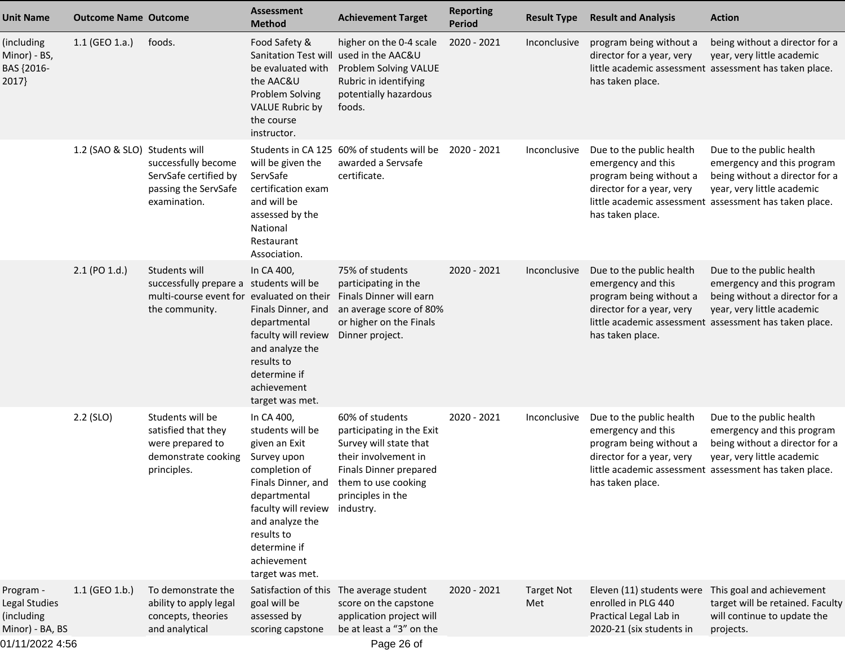| <b>Unit Name</b>                                            | <b>Outcome Name Outcome</b>   |                                                                                                                         | <b>Assessment</b><br><b>Method</b>                                                                                                                                                                        | <b>Achievement Target</b>                                                                                                                                                                            | <b>Reporting</b><br><b>Period</b> | <b>Result Type</b>       | <b>Result and Analysis</b>                                                                                                       | <b>Action</b>                                                                                                                                                                    |
|-------------------------------------------------------------|-------------------------------|-------------------------------------------------------------------------------------------------------------------------|-----------------------------------------------------------------------------------------------------------------------------------------------------------------------------------------------------------|------------------------------------------------------------------------------------------------------------------------------------------------------------------------------------------------------|-----------------------------------|--------------------------|----------------------------------------------------------------------------------------------------------------------------------|----------------------------------------------------------------------------------------------------------------------------------------------------------------------------------|
| (including<br>Minor) - BS,<br>BAS {2016-<br>2017            | $1.1$ (GEO 1.a.)              | foods.                                                                                                                  | Food Safety &<br>be evaluated with<br>the AAC&U<br><b>Problem Solving</b><br><b>VALUE Rubric by</b><br>the course<br>instructor.                                                                          | higher on the 0-4 scale<br>Sanitation Test will used in the AAC&U<br>Problem Solving VALUE<br>Rubric in identifying<br>potentially hazardous<br>foods.                                               | 2020 - 2021                       | Inconclusive             | program being without a<br>director for a year, very<br>has taken place.                                                         | being without a director for a<br>year, very little academic<br>little academic assessment assessment has taken place.                                                           |
|                                                             | 1.2 (SAO & SLO) Students will | successfully become<br>ServSafe certified by<br>passing the ServSafe<br>examination.                                    | will be given the<br>ServSafe<br>certification exam<br>and will be<br>assessed by the<br>National<br>Restaurant<br>Association.                                                                           | Students in CA 125 60% of students will be<br>awarded a Servsafe<br>certificate.                                                                                                                     | 2020 - 2021                       | Inconclusive             | Due to the public health<br>emergency and this<br>program being without a<br>director for a year, very<br>has taken place.       | Due to the public health<br>emergency and this program<br>being without a director for a<br>year, very little academic<br>little academic assessment assessment has taken place. |
|                                                             | 2.1 (PO 1.d.)                 | Students will<br>successfully prepare a students will be<br>multi-course event for evaluated on their<br>the community. | In CA 400,<br>Finals Dinner, and<br>departmental<br>faculty will review<br>and analyze the<br>results to<br>determine if<br>achievement<br>target was met.                                                | 75% of students<br>participating in the<br>Finals Dinner will earn<br>an average score of 80%<br>or higher on the Finals<br>Dinner project.                                                          | 2020 - 2021                       | Inconclusive             | Due to the public health<br>emergency and this<br>program being without a<br>director for a year, very<br>has taken place.       | Due to the public health<br>emergency and this program<br>being without a director for a<br>year, very little academic<br>little academic assessment assessment has taken place. |
|                                                             | $2.2$ (SLO)                   | Students will be<br>satisfied that they<br>were prepared to<br>demonstrate cooking<br>principles.                       | In CA 400,<br>students will be<br>given an Exit<br>Survey upon<br>completion of<br>departmental<br>faculty will review<br>and analyze the<br>results to<br>determine if<br>achievement<br>target was met. | 60% of students<br>participating in the Exit<br>Survey will state that<br>their involvement in<br>Finals Dinner prepared<br>Finals Dinner, and them to use cooking<br>principles in the<br>industry. | 2020 - 2021                       | Inconclusive             | Due to the public health<br>emergency and this<br>program being without a<br>director for a year, very<br>has taken place.       | Due to the public health<br>emergency and this program<br>being without a director for a<br>year, very little academic<br>little academic assessment assessment has taken place. |
| Program -<br>Legal Studies<br>(including<br>Minor) - BA, BS | 1.1 (GEO 1.b.)                | To demonstrate the<br>ability to apply legal<br>concepts, theories<br>and analytical                                    | Satisfaction of this<br>goal will be<br>assessed by<br>scoring capstone                                                                                                                                   | The average student<br>score on the capstone<br>application project will<br>be at least a "3" on the                                                                                                 | 2020 - 2021                       | <b>Target Not</b><br>Met | Eleven (11) students were This goal and achievement<br>enrolled in PLG 440<br>Practical Legal Lab in<br>2020-21 (six students in | target will be retained. Faculty<br>will continue to update the<br>projects.                                                                                                     |
| 01/11/2022 4:56                                             |                               |                                                                                                                         |                                                                                                                                                                                                           | Page 26 of                                                                                                                                                                                           |                                   |                          |                                                                                                                                  |                                                                                                                                                                                  |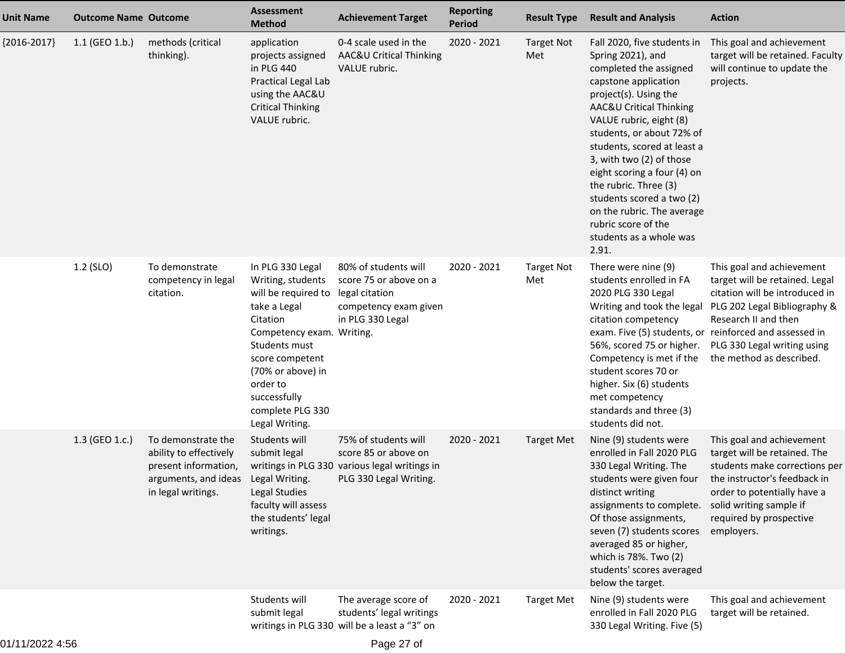| <b>Unit Name</b> | <b>Outcome Name Outcome</b> |                                                                                                                    | <b>Assessment</b><br><b>Method</b>                                                                                                                                                                                                               | <b>Achievement Target</b>                                                                                               | <b>Reporting</b><br><b>Period</b> | <b>Result Type</b>       | <b>Result and Analysis</b>                                                                                                                                                                                                                                                                                                                                                                                                                              | <b>Action</b>                                                                                                                                                                                                                                                              |
|------------------|-----------------------------|--------------------------------------------------------------------------------------------------------------------|--------------------------------------------------------------------------------------------------------------------------------------------------------------------------------------------------------------------------------------------------|-------------------------------------------------------------------------------------------------------------------------|-----------------------------------|--------------------------|---------------------------------------------------------------------------------------------------------------------------------------------------------------------------------------------------------------------------------------------------------------------------------------------------------------------------------------------------------------------------------------------------------------------------------------------------------|----------------------------------------------------------------------------------------------------------------------------------------------------------------------------------------------------------------------------------------------------------------------------|
| ${2016-2017}$    | $1.1$ (GEO 1.b.)            | methods (critical<br>thinking).                                                                                    | application<br>projects assigned<br>in PLG 440<br>Practical Legal Lab<br>using the AAC&U<br><b>Critical Thinking</b><br>VALUE rubric.                                                                                                            | 0-4 scale used in the<br>AAC&U Critical Thinking<br>VALUE rubric.                                                       | 2020 - 2021                       | <b>Target Not</b><br>Met | Fall 2020, five students in<br>Spring 2021), and<br>completed the assigned<br>capstone application<br>project(s). Using the<br>AAC&U Critical Thinking<br>VALUE rubric, eight (8)<br>students, or about 72% of<br>students, scored at least a<br>3, with two (2) of those<br>eight scoring a four (4) on<br>the rubric. Three (3)<br>students scored a two (2)<br>on the rubric. The average<br>rubric score of the<br>students as a whole was<br>2.91. | This goal and achievement<br>target will be retained. Faculty<br>will continue to update the<br>projects.                                                                                                                                                                  |
|                  | 1.2 (SLO)                   | To demonstrate<br>competency in legal<br>citation.                                                                 | In PLG 330 Legal<br>Writing, students<br>will be required to<br>take a Legal<br>Citation<br>Competency exam. Writing.<br>Students must<br>score competent<br>(70% or above) in<br>order to<br>successfully<br>complete PLG 330<br>Legal Writing. | 80% of students will<br>score 75 or above on a<br>legal citation<br>competency exam given<br>in PLG 330 Legal           | 2020 - 2021                       | <b>Target Not</b><br>Met | There were nine (9)<br>students enrolled in FA<br>2020 PLG 330 Legal<br>Writing and took the legal<br>citation competency<br>56%, scored 75 or higher.<br>Competency is met if the<br>student scores 70 or<br>higher. Six (6) students<br>met competency<br>standards and three (3)<br>students did not.                                                                                                                                                | This goal and achievement<br>target will be retained. Legal<br>citation will be introduced in<br>PLG 202 Legal Bibliography &<br>Research II and then<br>exam. Five (5) students, or reinforced and assessed in<br>PLG 330 Legal writing using<br>the method as described. |
|                  | 1.3 (GEO 1.c.)              | To demonstrate the<br>ability to effectively<br>present information,<br>arguments, and ideas<br>in legal writings. | Students will<br>submit legal<br>Legal Writing.<br><b>Legal Studies</b><br>faculty will assess<br>the students' legal<br>writings.                                                                                                               | 75% of students will<br>score 85 or above on<br>writings in PLG 330 various legal writings in<br>PLG 330 Legal Writing. | 2020 - 2021                       | <b>Target Met</b>        | Nine (9) students were<br>enrolled in Fall 2020 PLG<br>330 Legal Writing. The<br>students were given four<br>distinct writing<br>assignments to complete.<br>Of those assignments,<br>seven (7) students scores<br>averaged 85 or higher,<br>which is 78%. Two (2)<br>students' scores averaged<br>below the target.                                                                                                                                    | This goal and achievement<br>target will be retained. The<br>students make corrections per<br>the instructor's feedback in<br>order to potentially have a<br>solid writing sample if<br>required by prospective<br>employers.                                              |
|                  |                             |                                                                                                                    | Students will<br>submit legal                                                                                                                                                                                                                    | The average score of<br>students' legal writings<br>writings in PLG 330 will be a least a "3" on                        | 2020 - 2021                       | <b>Target Met</b>        | Nine (9) students were<br>enrolled in Fall 2020 PLG<br>330 Legal Writing. Five (5)                                                                                                                                                                                                                                                                                                                                                                      | This goal and achievement<br>target will be retained.                                                                                                                                                                                                                      |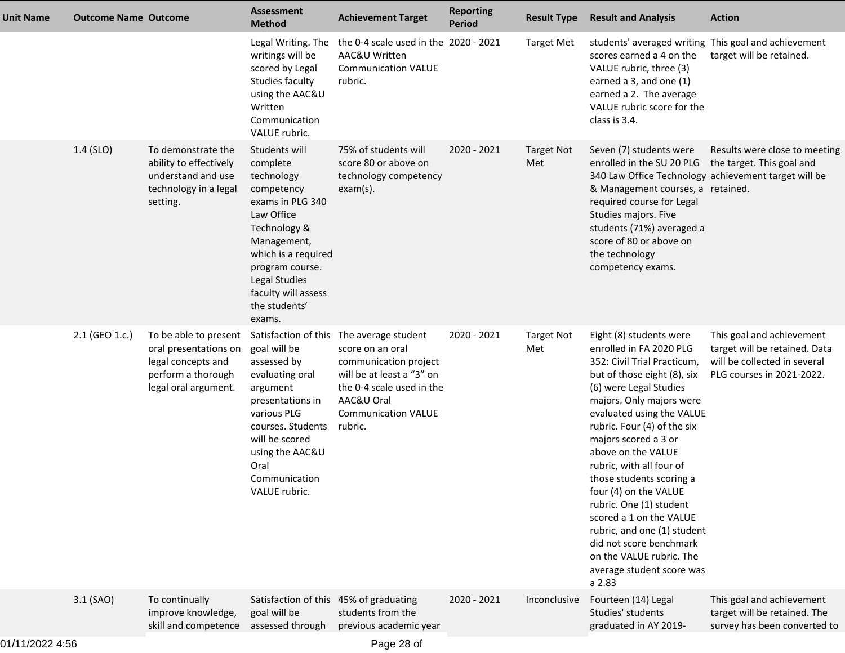| Unit Name | <b>Outcome Name Outcome</b> |                                                                                                                    | Assessment<br><b>Method</b>                                                                                                                                                                                                         | <b>Achievement Target</b>                                                                                                                                                                              | <b>Reporting</b><br><b>Period</b> | <b>Result Type</b>       | <b>Result and Analysis</b>                                                                                                                                                                                                                                                                                                                                                                                                                                                                                                                           | <b>Action</b>                                                                                                           |
|-----------|-----------------------------|--------------------------------------------------------------------------------------------------------------------|-------------------------------------------------------------------------------------------------------------------------------------------------------------------------------------------------------------------------------------|--------------------------------------------------------------------------------------------------------------------------------------------------------------------------------------------------------|-----------------------------------|--------------------------|------------------------------------------------------------------------------------------------------------------------------------------------------------------------------------------------------------------------------------------------------------------------------------------------------------------------------------------------------------------------------------------------------------------------------------------------------------------------------------------------------------------------------------------------------|-------------------------------------------------------------------------------------------------------------------------|
|           |                             |                                                                                                                    | Legal Writing. The<br>writings will be<br>scored by Legal<br>Studies faculty<br>using the AAC&U<br>Written<br>Communication<br>VALUE rubric.                                                                                        | the 0-4 scale used in the 2020 - 2021<br>AAC&U Written<br><b>Communication VALUE</b><br>rubric.                                                                                                        |                                   | <b>Target Met</b>        | students' averaged writing This goal and achievement<br>scores earned a 4 on the<br>VALUE rubric, three (3)<br>earned a 3, and one (1)<br>earned a 2. The average<br>VALUE rubric score for the<br>class is 3.4.                                                                                                                                                                                                                                                                                                                                     | target will be retained.                                                                                                |
|           | 1.4 (SLO)                   | To demonstrate the<br>ability to effectively<br>understand and use<br>technology in a legal<br>setting.            | Students will<br>complete<br>technology<br>competency<br>exams in PLG 340<br>Law Office<br>Technology &<br>Management,<br>which is a required<br>program course.<br>Legal Studies<br>faculty will assess<br>the students'<br>exams. | 75% of students will<br>score 80 or above on<br>technology competency<br>$exam(s)$ .                                                                                                                   | 2020 - 2021                       | <b>Target Not</b><br>Met | Seven (7) students were<br>enrolled in the SU 20 PLG the target. This goal and<br>340 Law Office Technology achievement target will be<br>& Management courses, a retained.<br>required course for Legal<br>Studies majors. Five<br>students (71%) averaged a<br>score of 80 or above on<br>the technology<br>competency exams.                                                                                                                                                                                                                      | Results were close to meeting                                                                                           |
|           | 2.1 (GEO 1.c.)              | To be able to present<br>oral presentations on<br>legal concepts and<br>perform a thorough<br>legal oral argument. | goal will be<br>assessed by<br>evaluating oral<br>argument<br>presentations in<br>various PLG<br>courses. Students<br>will be scored<br>using the AAC&U<br>Oral<br>Communication<br>VALUE rubric.                                   | Satisfaction of this The average student<br>score on an oral<br>communication project<br>will be at least a "3" on<br>the 0-4 scale used in the<br>AAC&U Oral<br><b>Communication VALUE</b><br>rubric. | 2020 - 2021                       | <b>Target Not</b><br>Met | Eight (8) students were<br>enrolled in FA 2020 PLG<br>352: Civil Trial Practicum,<br>but of those eight (8), six<br>(6) were Legal Studies<br>majors. Only majors were<br>evaluated using the VALUE<br>rubric. Four (4) of the six<br>majors scored a 3 or<br>above on the VALUE<br>rubric, with all four of<br>those students scoring a<br>four (4) on the VALUE<br>rubric. One (1) student<br>scored a 1 on the VALUE<br>rubric, and one (1) student<br>did not score benchmark<br>on the VALUE rubric. The<br>average student score was<br>a 2.83 | This goal and achievement<br>target will be retained. Data<br>will be collected in several<br>PLG courses in 2021-2022. |
|           | 3.1 (SAO)                   | To continually<br>improve knowledge,<br>skill and competence                                                       | Satisfaction of this 45% of graduating<br>goal will be<br>assessed through                                                                                                                                                          | students from the<br>previous academic year                                                                                                                                                            | 2020 - 2021                       | Inconclusive             | Fourteen (14) Legal<br>Studies' students<br>graduated in AY 2019-                                                                                                                                                                                                                                                                                                                                                                                                                                                                                    | This goal and achievement<br>target will be retained. The<br>survey has been converted to                               |
|           |                             |                                                                                                                    |                                                                                                                                                                                                                                     |                                                                                                                                                                                                        |                                   |                          |                                                                                                                                                                                                                                                                                                                                                                                                                                                                                                                                                      |                                                                                                                         |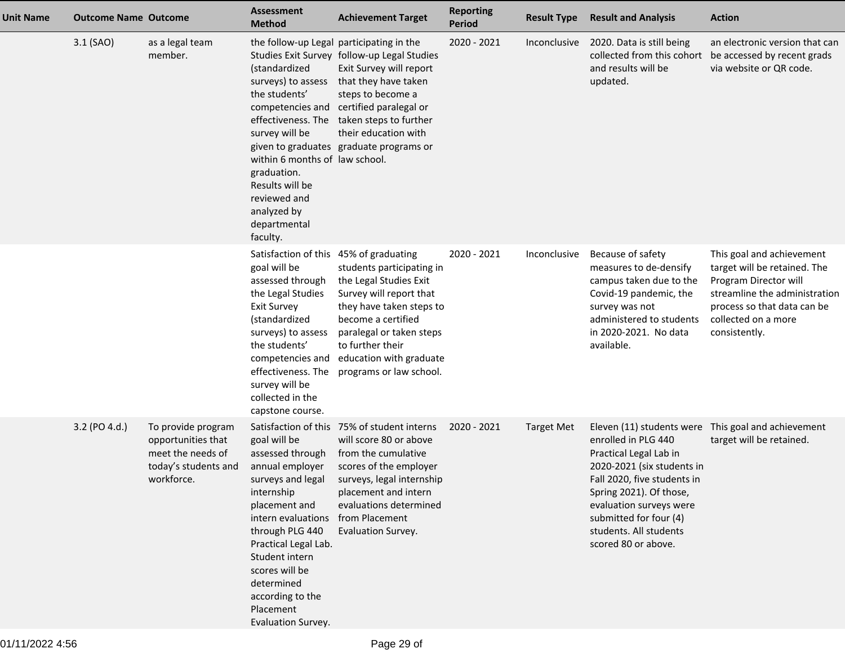| <b>Unit Name</b> | <b>Outcome Name Outcome</b> |                                                                                                     | <b>Assessment</b><br><b>Method</b>                                                                                                                                                                                                                                                | <b>Achievement Target</b>                                                                                                                                                                                                                                                                               | <b>Reporting</b><br>Period | <b>Result Type</b> | <b>Result and Analysis</b>                                                                                                                                                                                                                  | <b>Action</b>                                                                                                                                                                              |
|------------------|-----------------------------|-----------------------------------------------------------------------------------------------------|-----------------------------------------------------------------------------------------------------------------------------------------------------------------------------------------------------------------------------------------------------------------------------------|---------------------------------------------------------------------------------------------------------------------------------------------------------------------------------------------------------------------------------------------------------------------------------------------------------|----------------------------|--------------------|---------------------------------------------------------------------------------------------------------------------------------------------------------------------------------------------------------------------------------------------|--------------------------------------------------------------------------------------------------------------------------------------------------------------------------------------------|
|                  | 3.1 (SAO)                   | as a legal team<br>member.                                                                          | (standardized<br>surveys) to assess<br>the students'<br>effectiveness. The<br>survey will be<br>within 6 months of law school.<br>graduation.<br>Results will be<br>reviewed and<br>analyzed by<br>departmental<br>faculty.                                                       | the follow-up Legal participating in the<br>Studies Exit Survey follow-up Legal Studies<br>Exit Survey will report<br>that they have taken<br>steps to become a<br>competencies and certified paralegal or<br>taken steps to further<br>their education with<br>given to graduates graduate programs or | 2020 - 2021                | Inconclusive       | 2020. Data is still being<br>and results will be<br>updated.                                                                                                                                                                                | an electronic version that can<br>collected from this cohort be accessed by recent grads<br>via website or QR code.                                                                        |
|                  |                             |                                                                                                     | Satisfaction of this 45% of graduating<br>goal will be<br>assessed through<br>the Legal Studies<br><b>Exit Survey</b><br>(standardized<br>surveys) to assess<br>the students'<br>competencies and<br>effectiveness. The<br>survey will be<br>collected in the<br>capstone course. | students participating in<br>the Legal Studies Exit<br>Survey will report that<br>they have taken steps to<br>become a certified<br>paralegal or taken steps<br>to further their<br>education with graduate<br>programs or law school.                                                                  | 2020 - 2021                | Inconclusive       | Because of safety<br>measures to de-densify<br>campus taken due to the<br>Covid-19 pandemic, the<br>survey was not<br>administered to students<br>in 2020-2021. No data<br>available.                                                       | This goal and achievement<br>target will be retained. The<br>Program Director will<br>streamline the administration<br>process so that data can be<br>collected on a more<br>consistently. |
|                  | 3.2 (PO 4.d.)               | To provide program<br>opportunities that<br>meet the needs of<br>today's students and<br>workforce. | goal will be<br>assessed through<br>annual employer<br>internship<br>placement and<br>intern evaluations<br>through PLG 440<br>Practical Legal Lab.<br>Student intern<br>scores will be<br>determined<br>according to the<br>Placement<br>Evaluation Survey.                      | Satisfaction of this 75% of student interns<br>will score 80 or above<br>from the cumulative<br>scores of the employer<br>surveys and legal surveys, legal internship<br>placement and intern<br>evaluations determined<br>from Placement<br>Evaluation Survey.                                         | 2020 - 2021                | <b>Target Met</b>  | enrolled in PLG 440<br>Practical Legal Lab in<br>2020-2021 (six students in<br>Fall 2020, five students in<br>Spring 2021). Of those,<br>evaluation surveys were<br>submitted for four (4)<br>students. All students<br>scored 80 or above. | Eleven (11) students were This goal and achievement<br>target will be retained.                                                                                                            |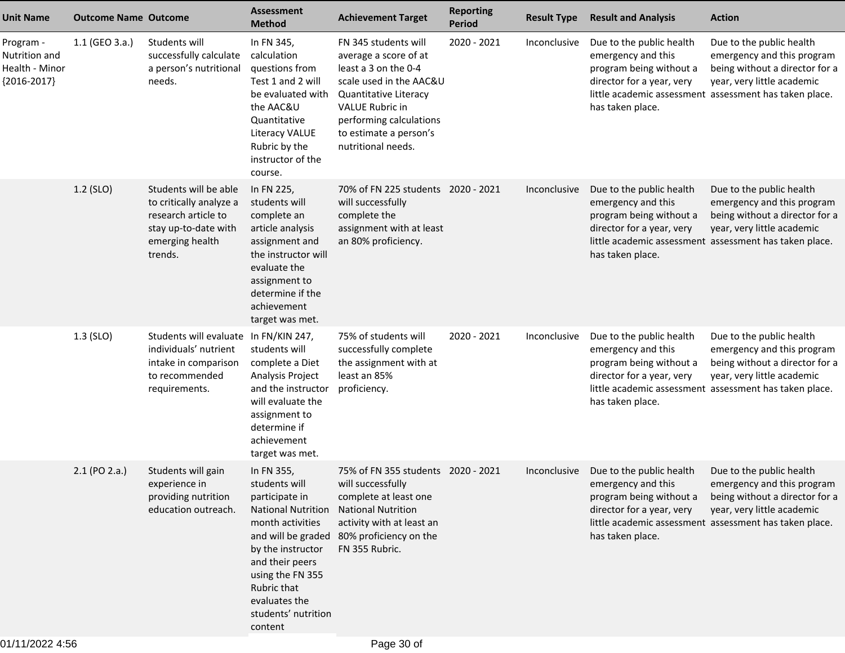| <b>Unit Name</b>                                              | <b>Outcome Name Outcome</b> |                                                                                                                               | <b>Assessment</b><br><b>Method</b>                                                                                                                                                                                                                 | <b>Achievement Target</b>                                                                                                                                                                                                      | <b>Reporting</b><br><b>Period</b> | <b>Result Type</b>  | <b>Result and Analysis</b>                                                                                                 | <b>Action</b>                                                                                                                                                                    |
|---------------------------------------------------------------|-----------------------------|-------------------------------------------------------------------------------------------------------------------------------|----------------------------------------------------------------------------------------------------------------------------------------------------------------------------------------------------------------------------------------------------|--------------------------------------------------------------------------------------------------------------------------------------------------------------------------------------------------------------------------------|-----------------------------------|---------------------|----------------------------------------------------------------------------------------------------------------------------|----------------------------------------------------------------------------------------------------------------------------------------------------------------------------------|
| Program -<br>Nutrition and<br>Health - Minor<br>${2016-2017}$ | 1.1 (GEO 3.a.)              | Students will<br>successfully calculate<br>a person's nutritional<br>needs.                                                   | In FN 345,<br>calculation<br>questions from<br>Test 1 and 2 will<br>be evaluated with<br>the AAC&U<br>Quantitative<br><b>Literacy VALUE</b><br>Rubric by the<br>instructor of the<br>course.                                                       | FN 345 students will<br>average a score of at<br>least a 3 on the 0-4<br>scale used in the AAC&U<br>Quantitative Literacy<br><b>VALUE Rubric in</b><br>performing calculations<br>to estimate a person's<br>nutritional needs. | 2020 - 2021                       | Inconclusive        | Due to the public health<br>emergency and this<br>program being without a<br>director for a year, very<br>has taken place. | Due to the public health<br>emergency and this program<br>being without a director for a<br>year, very little academic<br>little academic assessment assessment has taken place. |
|                                                               | 1.2 (SLO)                   | Students will be able<br>to critically analyze a<br>research article to<br>stay up-to-date with<br>emerging health<br>trends. | In FN 225,<br>students will<br>complete an<br>article analysis<br>assignment and<br>the instructor will<br>evaluate the<br>assignment to<br>determine if the<br>achievement<br>target was met.                                                     | 70% of FN 225 students 2020 - 2021<br>will successfully<br>complete the<br>assignment with at least<br>an 80% proficiency.                                                                                                     |                                   | Inconclusive        | Due to the public health<br>emergency and this<br>program being without a<br>director for a year, very<br>has taken place. | Due to the public health<br>emergency and this program<br>being without a director for a<br>year, very little academic<br>little academic assessment assessment has taken place. |
|                                                               | $1.3$ (SLO)                 | Students will evaluate In FN/KIN 247,<br>individuals' nutrient<br>intake in comparison<br>to recommended<br>requirements.     | students will<br>complete a Diet<br>Analysis Project<br>and the instructor<br>will evaluate the<br>assignment to<br>determine if<br>achievement<br>target was met.                                                                                 | 75% of students will<br>successfully complete<br>the assignment with at<br>least an 85%<br>proficiency.                                                                                                                        | 2020 - 2021                       | Inconclusive        | Due to the public health<br>emergency and this<br>program being without a<br>director for a year, very<br>has taken place. | Due to the public health<br>emergency and this program<br>being without a director for a<br>year, very little academic<br>little academic assessment assessment has taken place. |
|                                                               | 2.1 (PO 2.a.)               | Students will gain<br>experience in<br>providing nutrition<br>education outreach.                                             | In FN 355,<br>students will<br>participate in<br><b>National Nutrition</b><br>month activities<br>and will be graded<br>by the instructor<br>and their peers<br>using the FN 355<br>Rubric that<br>evaluates the<br>students' nutrition<br>content | 75% of FN 355 students 2020 - 2021<br>will successfully<br>complete at least one<br><b>National Nutrition</b><br>activity with at least an<br>80% proficiency on the<br>FN 355 Rubric.                                         |                                   | <i>Inconclusive</i> | Due to the public health<br>emergency and this<br>program being without a<br>director for a year, very<br>has taken place. | Due to the public health<br>emergency and this program<br>being without a director for a<br>year, very little academic<br>little academic assessment assessment has taken place. |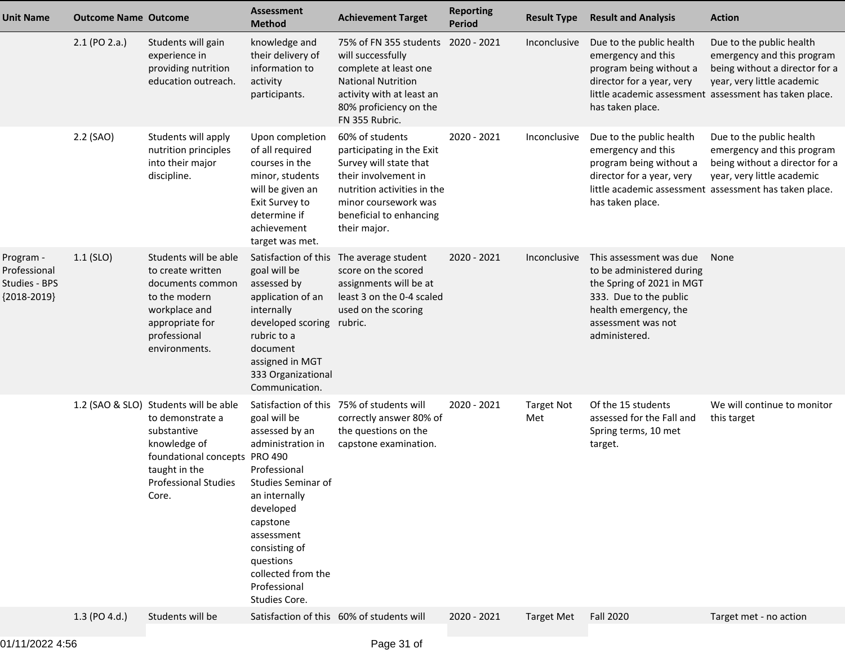| <b>Unit Name</b>                                            | <b>Outcome Name Outcome</b> |                                                                                                                                                                                                | <b>Assessment</b><br><b>Method</b>                                                                                                                                                                               | <b>Achievement Target</b>                                                                                                                                                                        | <b>Reporting</b><br><b>Period</b> | <b>Result Type</b>       | <b>Result and Analysis</b>                                                                                                                                                  | <b>Action</b>                                                                                                                                                                    |
|-------------------------------------------------------------|-----------------------------|------------------------------------------------------------------------------------------------------------------------------------------------------------------------------------------------|------------------------------------------------------------------------------------------------------------------------------------------------------------------------------------------------------------------|--------------------------------------------------------------------------------------------------------------------------------------------------------------------------------------------------|-----------------------------------|--------------------------|-----------------------------------------------------------------------------------------------------------------------------------------------------------------------------|----------------------------------------------------------------------------------------------------------------------------------------------------------------------------------|
|                                                             | 2.1 (PO 2.a.)               | Students will gain<br>experience in<br>providing nutrition<br>education outreach.                                                                                                              | knowledge and<br>their delivery of<br>information to<br>activity<br>participants.                                                                                                                                | 75% of FN 355 students 2020 - 2021<br>will successfully<br>complete at least one<br><b>National Nutrition</b><br>activity with at least an<br>80% proficiency on the<br>FN 355 Rubric.           |                                   | Inconclusive             | Due to the public health<br>emergency and this<br>program being without a<br>director for a year, very<br>has taken place.                                                  | Due to the public health<br>emergency and this program<br>being without a director for a<br>year, very little academic<br>little academic assessment assessment has taken place. |
|                                                             | 2.2 (SAO)                   | Students will apply<br>nutrition principles<br>into their major<br>discipline.                                                                                                                 | Upon completion<br>of all required<br>courses in the<br>minor, students<br>will be given an<br>Exit Survey to<br>determine if<br>achievement<br>target was met.                                                  | 60% of students<br>participating in the Exit<br>Survey will state that<br>their involvement in<br>nutrition activities in the<br>minor coursework was<br>beneficial to enhancing<br>their major. | 2020 - 2021                       | Inconclusive             | Due to the public health<br>emergency and this<br>program being without a<br>director for a year, very<br>has taken place.                                                  | Due to the public health<br>emergency and this program<br>being without a director for a<br>year, very little academic<br>little academic assessment assessment has taken place. |
| Program -<br>Professional<br>Studies - BPS<br>${2018-2019}$ | $1.1$ (SLO)                 | Students will be able<br>to create written<br>documents common<br>to the modern<br>workplace and<br>appropriate for<br>professional<br>environments.                                           | Satisfaction of this<br>goal will be<br>assessed by<br>application of an<br>internally<br>developed scoring rubric.<br>rubric to a<br>document<br>assigned in MGT<br>333 Organizational<br>Communication.        | The average student<br>score on the scored<br>assignments will be at<br>least 3 on the 0-4 scaled<br>used on the scoring                                                                         | 2020 - 2021                       | Inconclusive             | This assessment was due<br>to be administered during<br>the Spring of 2021 in MGT<br>333. Due to the public<br>health emergency, the<br>assessment was not<br>administered. | None                                                                                                                                                                             |
|                                                             |                             | 1.2 (SAO & SLO) Students will be able<br>to demonstrate a<br>substantive<br>knowledge of<br>foundational concepts PRO 490<br>taught in the<br>Professional Studies Studies Seminar of<br>Core. | goal will be<br>assessed by an<br>administration in<br>Professional<br>an internally<br>developed<br>capstone<br>assessment<br>consisting of<br>questions<br>collected from the<br>Professional<br>Studies Core. | Satisfaction of this 75% of students will<br>correctly answer 80% of<br>the questions on the<br>capstone examination.                                                                            | 2020 - 2021                       | <b>Target Not</b><br>Met | Of the 15 students<br>assessed for the Fall and<br>Spring terms, 10 met<br>target.                                                                                          | We will continue to monitor<br>this target                                                                                                                                       |
|                                                             | 1.3 (PO 4.d.)               | Students will be                                                                                                                                                                               |                                                                                                                                                                                                                  | Satisfaction of this 60% of students will                                                                                                                                                        | 2020 - 2021                       | <b>Target Met</b>        | <b>Fall 2020</b>                                                                                                                                                            | Target met - no action                                                                                                                                                           |
|                                                             |                             |                                                                                                                                                                                                |                                                                                                                                                                                                                  |                                                                                                                                                                                                  |                                   |                          |                                                                                                                                                                             |                                                                                                                                                                                  |